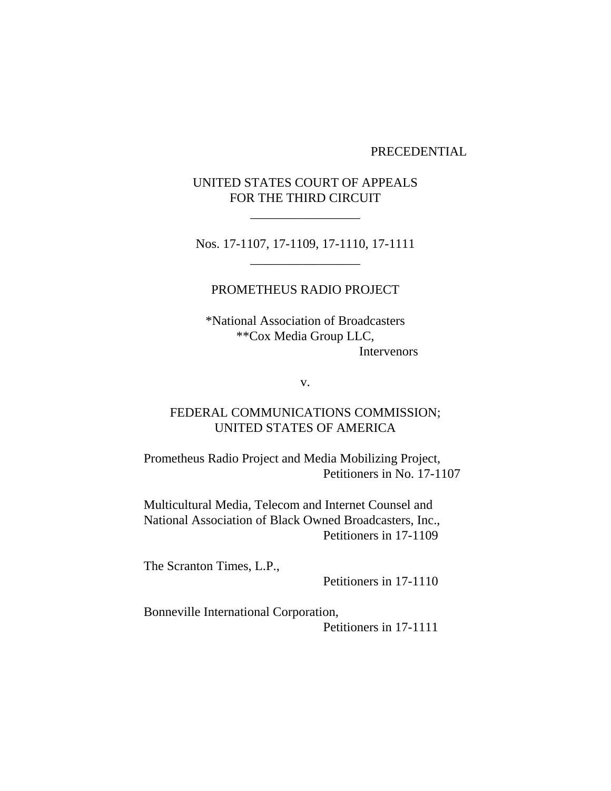### PRECEDENTIAL

# UNITED STATES COURT OF APPEALS FOR THE THIRD CIRCUIT

\_\_\_\_\_\_\_\_\_\_\_\_\_\_\_\_\_

Nos. 17-1107, 17-1109, 17-1110, 17-1111 \_\_\_\_\_\_\_\_\_\_\_\_\_\_\_\_\_

## PROMETHEUS RADIO PROJECT

\*National Association of Broadcasters \*\*Cox Media Group LLC, Intervenors

v.

# FEDERAL COMMUNICATIONS COMMISSION; UNITED STATES OF AMERICA

Prometheus Radio Project and Media Mobilizing Project, Petitioners in No. 17-1107

Multicultural Media, Telecom and Internet Counsel and National Association of Black Owned Broadcasters, Inc., Petitioners in 17-1109

The Scranton Times, L.P.,

Petitioners in 17-1110

Bonneville International Corporation, Petitioners in 17-1111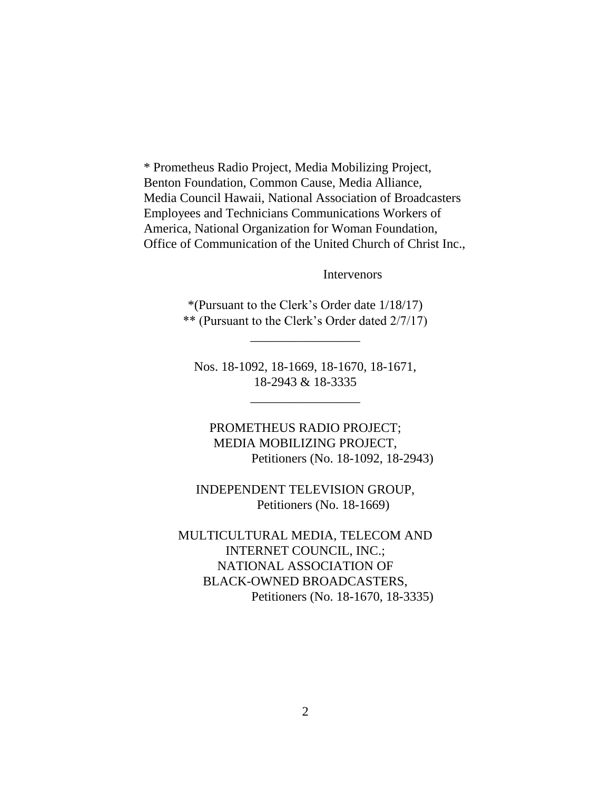\* Prometheus Radio Project, Media Mobilizing Project, Benton Foundation, Common Cause, Media Alliance, Media Council Hawaii, National Association of Broadcasters Employees and Technicians Communications Workers of America, National Organization for Woman Foundation, Office of Communication of the United Church of Christ Inc.,

Intervenors

\*(Pursuant to the Clerk's Order date 1/18/17) \*\* (Pursuant to the Clerk's Order dated 2/7/17)

\_\_\_\_\_\_\_\_\_\_\_\_\_\_\_\_\_

Nos. 18-1092, 18-1669, 18-1670, 18-1671, 18-2943 & 18-3335

\_\_\_\_\_\_\_\_\_\_\_\_\_\_\_\_\_

PROMETHEUS RADIO PROJECT; MEDIA MOBILIZING PROJECT, Petitioners (No. 18-1092, 18-2943)

INDEPENDENT TELEVISION GROUP, Petitioners (No. 18-1669)

MULTICULTURAL MEDIA, TELECOM AND INTERNET COUNCIL, INC.; NATIONAL ASSOCIATION OF BLACK-OWNED BROADCASTERS, Petitioners (No. 18-1670, 18-3335)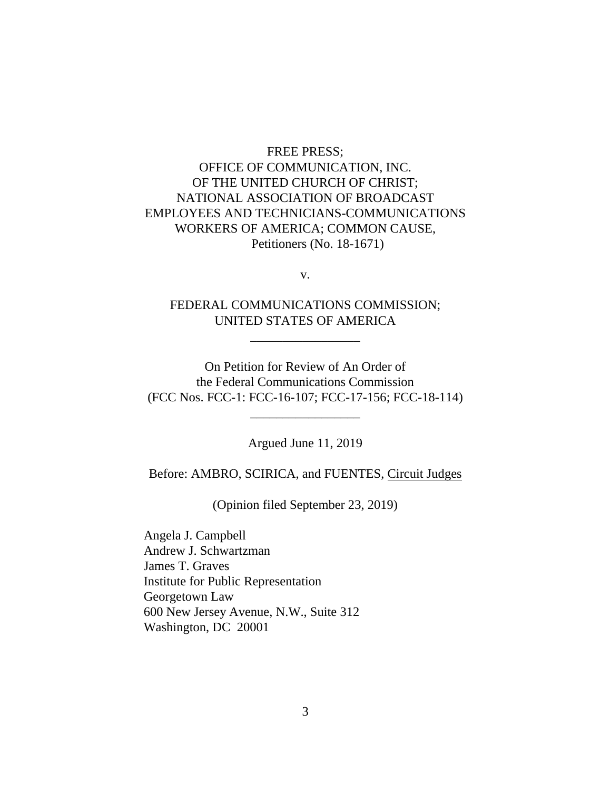# FREE PRESS; OFFICE OF COMMUNICATION, INC. OF THE UNITED CHURCH OF CHRIST; NATIONAL ASSOCIATION OF BROADCAST EMPLOYEES AND TECHNICIANS-COMMUNICATIONS WORKERS OF AMERICA; COMMON CAUSE, Petitioners (No. 18-1671)

v.

# FEDERAL COMMUNICATIONS COMMISSION; UNITED STATES OF AMERICA

\_\_\_\_\_\_\_\_\_\_\_\_\_\_\_\_\_

On Petition for Review of An Order of the Federal Communications Commission (FCC Nos. FCC-1: FCC-16-107; FCC-17-156; FCC-18-114)

\_\_\_\_\_\_\_\_\_\_\_\_\_\_\_\_\_

Argued June 11, 2019

Before: AMBRO, SCIRICA, and FUENTES, Circuit Judges

(Opinion filed September 23, 2019)

Angela J. Campbell Andrew J. Schwartzman James T. Graves Institute for Public Representation Georgetown Law 600 New Jersey Avenue, N.W., Suite 312 Washington, DC 20001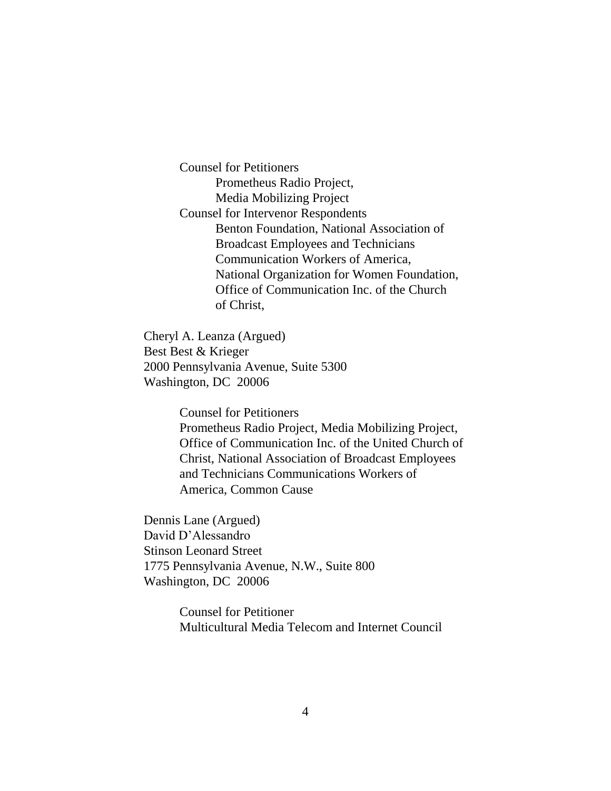Counsel for Petitioners Prometheus Radio Project, Media Mobilizing Project Counsel for Intervenor Respondents Benton Foundation, National Association of Broadcast Employees and Technicians Communication Workers of America, National Organization for Women Foundation, Office of Communication Inc. of the Church of Christ,

Cheryl A. Leanza (Argued) Best Best & Krieger 2000 Pennsylvania Avenue, Suite 5300 Washington, DC 20006

> Counsel for Petitioners Prometheus Radio Project, Media Mobilizing Project, Office of Communication Inc. of the United Church of Christ, National Association of Broadcast Employees and Technicians Communications Workers of America, Common Cause

Dennis Lane (Argued) David D'Alessandro Stinson Leonard Street 1775 Pennsylvania Avenue, N.W., Suite 800 Washington, DC 20006

> Counsel for Petitioner Multicultural Media Telecom and Internet Council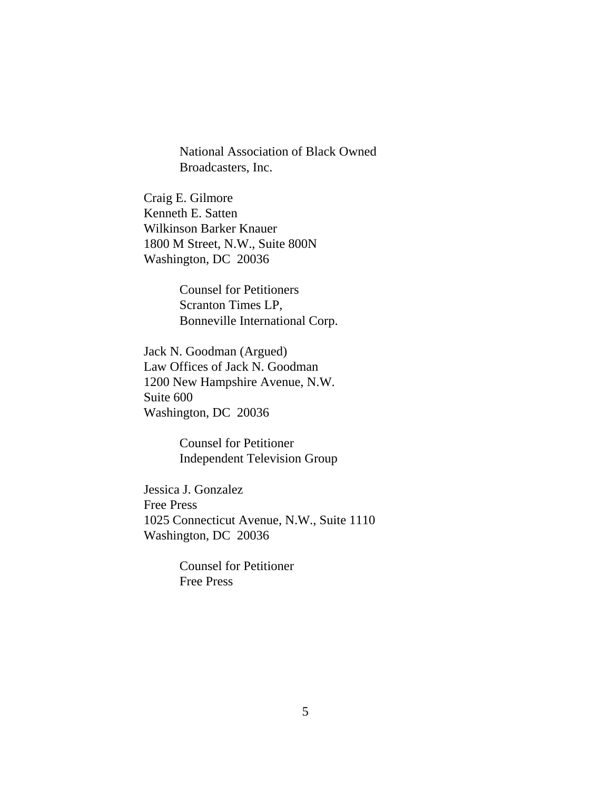National Association of Black Owned Broadcasters, Inc.

Craig E. Gilmore Kenneth E. Satten Wilkinson Barker Knauer 1800 M Street, N.W., Suite 800N Washington, DC 20036

> Counsel for Petitioners Scranton Times LP, Bonneville International Corp.

Jack N. Goodman (Argued) Law Offices of Jack N. Goodman 1200 New Hampshire Avenue, N.W. Suite 600 Washington, DC 20036

> Counsel for Petitioner Independent Television Group

Jessica J. Gonzalez Free Press 1025 Connecticut Avenue, N.W., Suite 1110 Washington, DC 20036

> Counsel for Petitioner Free Press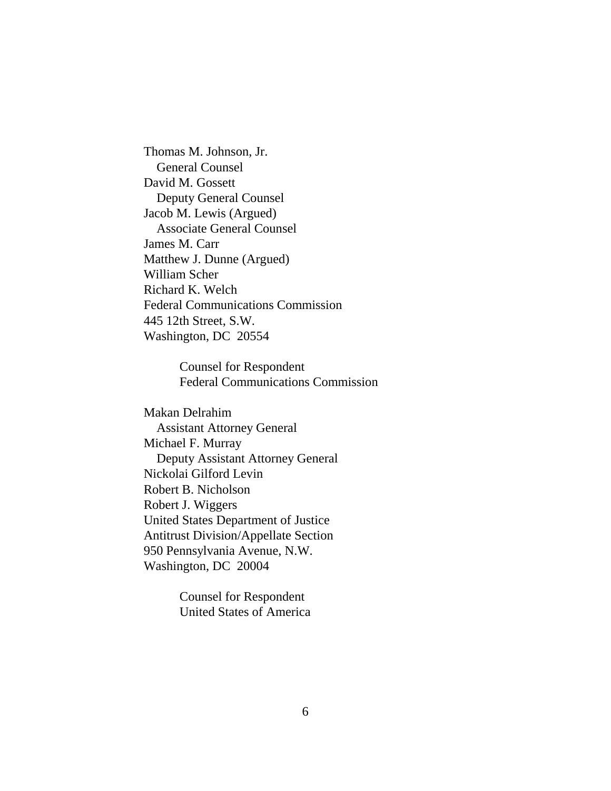Thomas M. Johnson, Jr. General Counsel David M. Gossett Deputy General Counsel Jacob M. Lewis (Argued) Associate General Counsel James M. Carr Matthew J. Dunne (Argued) William Scher Richard K. Welch Federal Communications Commission 445 12th Street, S.W. Washington, DC 20554

> Counsel for Respondent Federal Communications Commission

Makan Delrahim Assistant Attorney General Michael F. Murray Deputy Assistant Attorney General Nickolai Gilford Levin Robert B. Nicholson Robert J. Wiggers United States Department of Justice Antitrust Division/Appellate Section 950 Pennsylvania Avenue, N.W. Washington, DC 20004

> Counsel for Respondent United States of America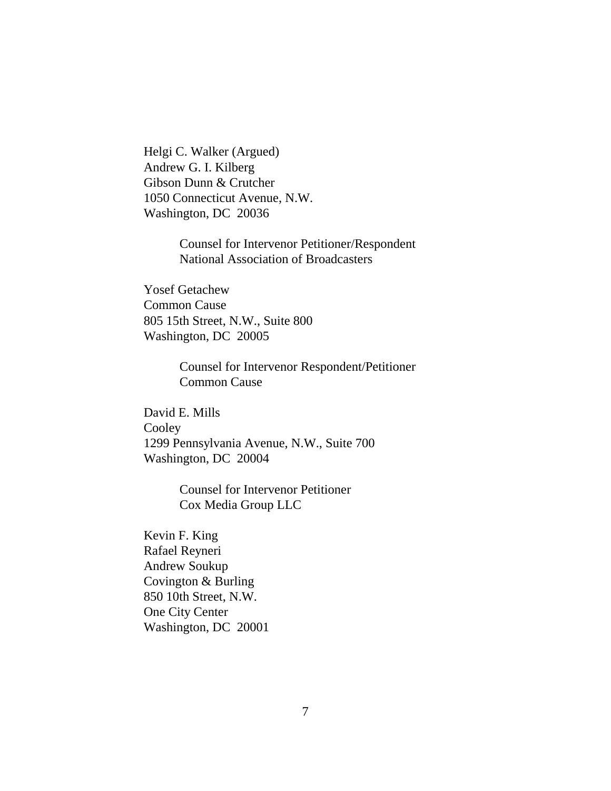Helgi C. Walker (Argued) Andrew G. I. Kilberg Gibson Dunn & Crutcher 1050 Connecticut Avenue, N.W. Washington, DC 20036

> Counsel for Intervenor Petitioner/Respondent National Association of Broadcasters

Yosef Getachew Common Cause 805 15th Street, N.W., Suite 800 Washington, DC 20005

> Counsel for Intervenor Respondent/Petitioner Common Cause

David E. Mills Cooley 1299 Pennsylvania Avenue, N.W., Suite 700 Washington, DC 20004

> Counsel for Intervenor Petitioner Cox Media Group LLC

Kevin F. King Rafael Reyneri Andrew Soukup Covington & Burling 850 10th Street, N.W. One City Center Washington, DC 20001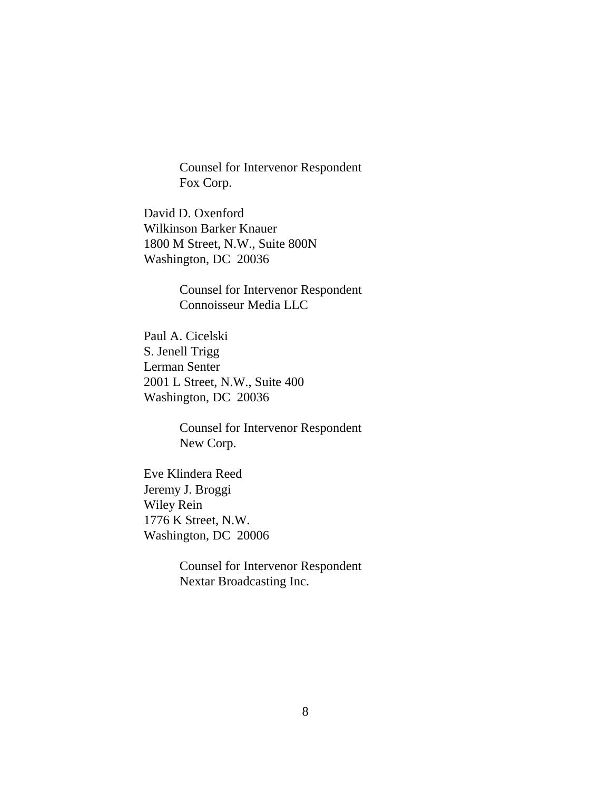Counsel for Intervenor Respondent Fox Corp.

David D. Oxenford Wilkinson Barker Knauer 1800 M Street, N.W., Suite 800N Washington, DC 20036

> Counsel for Intervenor Respondent Connoisseur Media LLC

Paul A. Cicelski S. Jenell Trigg Lerman Senter 2001 L Street, N.W., Suite 400 Washington, DC 20036

> Counsel for Intervenor Respondent New Corp.

Eve Klindera Reed Jeremy J. Broggi Wiley Rein 1776 K Street, N.W. Washington, DC 20006

> Counsel for Intervenor Respondent Nextar Broadcasting Inc.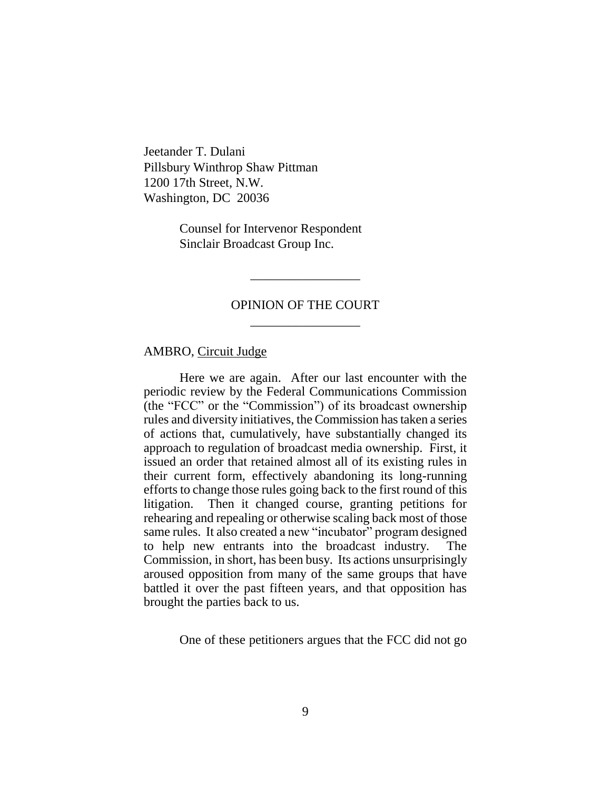Jeetander T. Dulani Pillsbury Winthrop Shaw Pittman 1200 17th Street, N.W. Washington, DC 20036

> Counsel for Intervenor Respondent Sinclair Broadcast Group Inc.

# OPINION OF THE COURT \_\_\_\_\_\_\_\_\_\_\_\_\_\_\_\_\_

\_\_\_\_\_\_\_\_\_\_\_\_\_\_\_\_\_

#### AMBRO, Circuit Judge

Here we are again. After our last encounter with the periodic review by the Federal Communications Commission (the "FCC" or the "Commission") of its broadcast ownership rules and diversity initiatives, the Commission has taken a series of actions that, cumulatively, have substantially changed its approach to regulation of broadcast media ownership. First, it issued an order that retained almost all of its existing rules in their current form, effectively abandoning its long-running efforts to change those rules going back to the first round of this litigation. Then it changed course, granting petitions for rehearing and repealing or otherwise scaling back most of those same rules. It also created a new "incubator" program designed to help new entrants into the broadcast industry. The Commission, in short, has been busy. Its actions unsurprisingly aroused opposition from many of the same groups that have battled it over the past fifteen years, and that opposition has brought the parties back to us.

One of these petitioners argues that the FCC did not go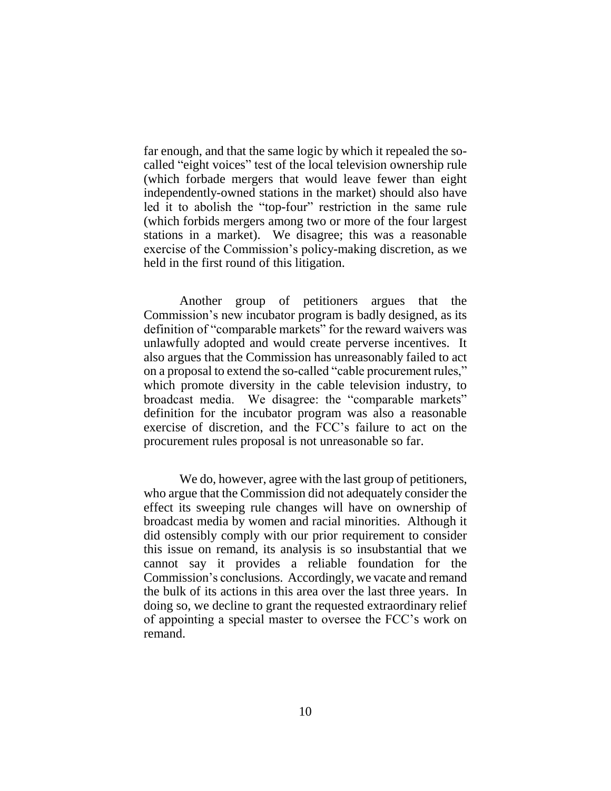far enough, and that the same logic by which it repealed the socalled "eight voices" test of the local television ownership rule (which forbade mergers that would leave fewer than eight independently-owned stations in the market) should also have led it to abolish the "top-four" restriction in the same rule (which forbids mergers among two or more of the four largest stations in a market). We disagree; this was a reasonable exercise of the Commission's policy-making discretion, as we held in the first round of this litigation.

Another group of petitioners argues that the Commission's new incubator program is badly designed, as its definition of "comparable markets" for the reward waivers was unlawfully adopted and would create perverse incentives. It also argues that the Commission has unreasonably failed to act on a proposal to extend the so-called "cable procurement rules," which promote diversity in the cable television industry, to broadcast media. We disagree: the "comparable markets" definition for the incubator program was also a reasonable exercise of discretion, and the FCC's failure to act on the procurement rules proposal is not unreasonable so far.

We do, however, agree with the last group of petitioners, who argue that the Commission did not adequately consider the effect its sweeping rule changes will have on ownership of broadcast media by women and racial minorities. Although it did ostensibly comply with our prior requirement to consider this issue on remand, its analysis is so insubstantial that we cannot say it provides a reliable foundation for the Commission's conclusions. Accordingly, we vacate and remand the bulk of its actions in this area over the last three years. In doing so, we decline to grant the requested extraordinary relief of appointing a special master to oversee the FCC's work on remand.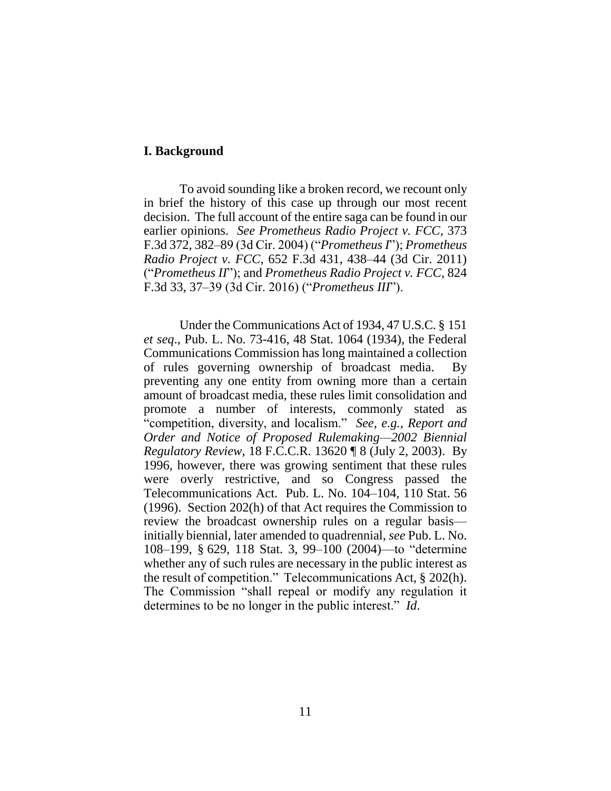### **I. Background**

To avoid sounding like a broken record, we recount only in brief the history of this case up through our most recent decision. The full account of the entire saga can be found in our earlier opinions. *See Prometheus Radio Project v. FCC*, 373 F.3d 372, 382–89 (3d Cir. 2004) ("*Prometheus I*"); *Prometheus Radio Project v. FCC*, 652 F.3d 431, 438–44 (3d Cir. 2011) ("*Prometheus II*"); and *Prometheus Radio Project v. FCC*, 824 F.3d 33, 37–39 (3d Cir. 2016) ("*Prometheus III*").

Under the Communications Act of 1934, 47 U.S.C. § 151 *et seq*., Pub. L. No. 73-416, 48 Stat. 1064 (1934), the Federal Communications Commission has long maintained a collection of rules governing ownership of broadcast media. By preventing any one entity from owning more than a certain amount of broadcast media, these rules limit consolidation and promote a number of interests, commonly stated as "competition, diversity, and localism." *See, e.g.*, *Report and Order and Notice of Proposed Rulemaking—2002 Biennial Regulatory Review*, 18 F.C.C.R. 13620 ¶ 8 (July 2, 2003). By 1996, however, there was growing sentiment that these rules were overly restrictive, and so Congress passed the Telecommunications Act. Pub. L. No. 104–104, 110 Stat. 56 (1996). Section 202(h) of that Act requires the Commission to review the broadcast ownership rules on a regular basis initially biennial, later amended to quadrennial, *see* Pub. L. No. 108–199, § 629, 118 Stat. 3, 99–100 (2004)—to "determine whether any of such rules are necessary in the public interest as the result of competition." Telecommunications Act, § 202(h). The Commission "shall repeal or modify any regulation it determines to be no longer in the public interest." *Id*.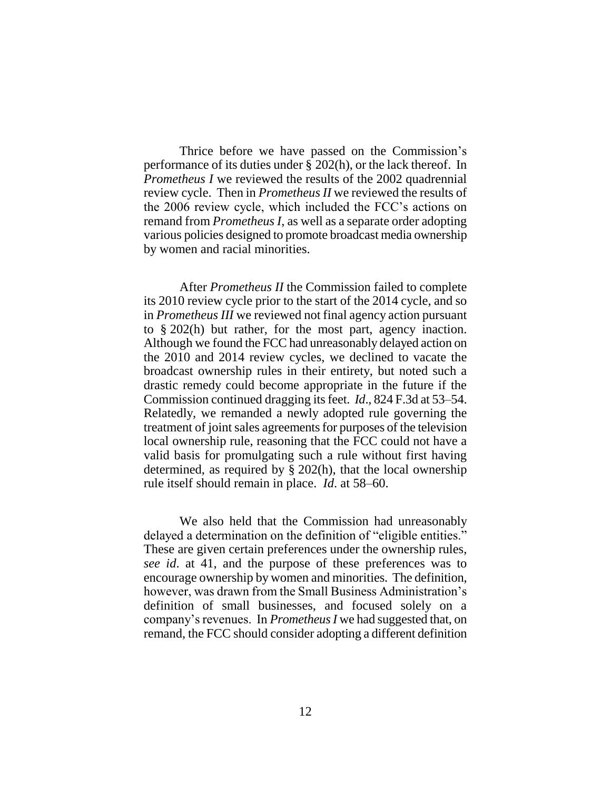Thrice before we have passed on the Commission's performance of its duties under § 202(h), or the lack thereof. In *Prometheus I* we reviewed the results of the 2002 quadrennial review cycle. Then in *Prometheus II* we reviewed the results of the 2006 review cycle, which included the FCC's actions on remand from *Prometheus I*, as well as a separate order adopting various policies designed to promote broadcast media ownership by women and racial minorities.

After *Prometheus II* the Commission failed to complete its 2010 review cycle prior to the start of the 2014 cycle, and so in *Prometheus III* we reviewed not final agency action pursuant to § 202(h) but rather, for the most part, agency inaction. Although we found the FCC had unreasonably delayed action on the 2010 and 2014 review cycles, we declined to vacate the broadcast ownership rules in their entirety, but noted such a drastic remedy could become appropriate in the future if the Commission continued dragging its feet. *Id*., 824 F.3d at 53–54. Relatedly, we remanded a newly adopted rule governing the treatment of joint sales agreements for purposes of the television local ownership rule, reasoning that the FCC could not have a valid basis for promulgating such a rule without first having determined, as required by § 202(h), that the local ownership rule itself should remain in place. *Id*. at 58–60.

We also held that the Commission had unreasonably delayed a determination on the definition of "eligible entities." These are given certain preferences under the ownership rules, *see id*. at 41, and the purpose of these preferences was to encourage ownership by women and minorities. The definition, however, was drawn from the Small Business Administration's definition of small businesses, and focused solely on a company's revenues. In *Prometheus I* we had suggested that, on remand, the FCC should consider adopting a different definition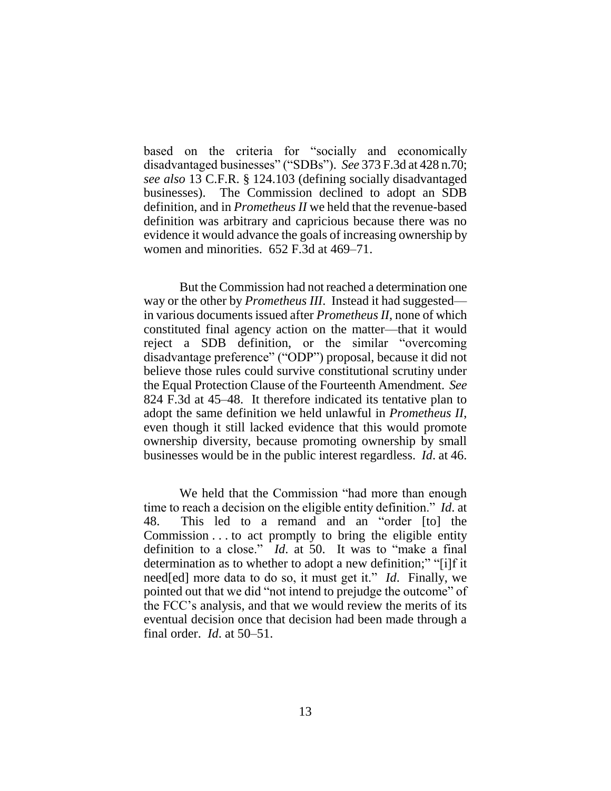based on the criteria for "socially and economically disadvantaged businesses" ("SDBs"). *See* 373 F.3d at 428 n.70; *see also* 13 C.F.R. § 124.103 (defining socially disadvantaged businesses). The Commission declined to adopt an SDB definition, and in *Prometheus II* we held that the revenue-based definition was arbitrary and capricious because there was no evidence it would advance the goals of increasing ownership by women and minorities. 652 F.3d at 469–71.

But the Commission had not reached a determination one way or the other by *Prometheus III*. Instead it had suggested in various documents issued after *Prometheus II*, none of which constituted final agency action on the matter—that it would reject a SDB definition, or the similar "overcoming disadvantage preference" ("ODP") proposal, because it did not believe those rules could survive constitutional scrutiny under the Equal Protection Clause of the Fourteenth Amendment. *See*  824 F.3d at 45–48. It therefore indicated its tentative plan to adopt the same definition we held unlawful in *Prometheus II*, even though it still lacked evidence that this would promote ownership diversity, because promoting ownership by small businesses would be in the public interest regardless. *Id*. at 46.

We held that the Commission "had more than enough time to reach a decision on the eligible entity definition." *Id*. at 48. This led to a remand and an "order [to] the Commission . . . to act promptly to bring the eligible entity definition to a close." *Id*. at 50. It was to "make a final determination as to whether to adopt a new definition;" "[i]f it need[ed] more data to do so, it must get it." *Id*. Finally, we pointed out that we did "not intend to prejudge the outcome" of the FCC's analysis, and that we would review the merits of its eventual decision once that decision had been made through a final order. *Id*. at 50–51.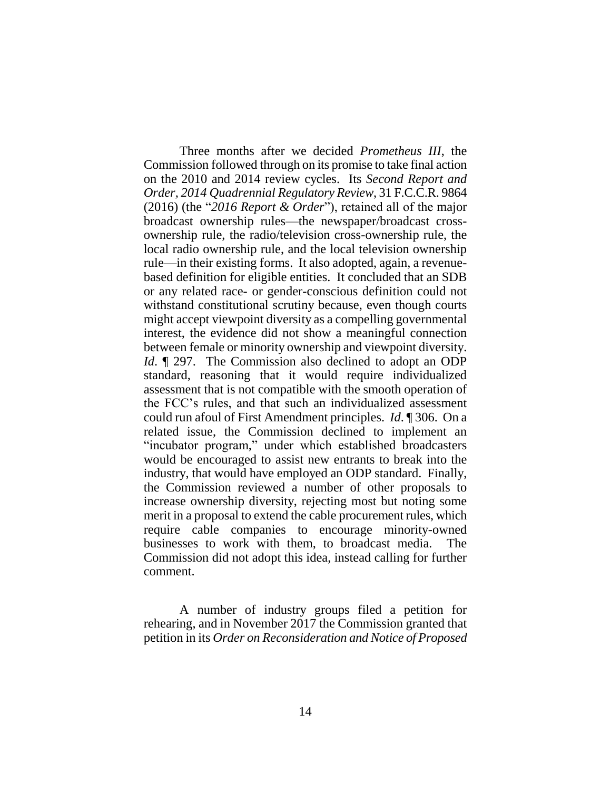Three months after we decided *Prometheus III*, the Commission followed through on its promise to take final action on the 2010 and 2014 review cycles. Its *Second Report and Order, 2014 Quadrennial Regulatory Review*, 31 F.C.C.R. 9864 (2016) (the "*2016 Report & Order*"), retained all of the major broadcast ownership rules—the newspaper/broadcast crossownership rule, the radio/television cross-ownership rule, the local radio ownership rule, and the local television ownership rule—in their existing forms. It also adopted, again, a revenuebased definition for eligible entities. It concluded that an SDB or any related race- or gender-conscious definition could not withstand constitutional scrutiny because, even though courts might accept viewpoint diversity as a compelling governmental interest, the evidence did not show a meaningful connection between female or minority ownership and viewpoint diversity. *Id*. **[297.** The Commission also declined to adopt an ODP standard, reasoning that it would require individualized assessment that is not compatible with the smooth operation of the FCC's rules, and that such an individualized assessment could run afoul of First Amendment principles. *Id*. ¶ 306. On a related issue, the Commission declined to implement an "incubator program," under which established broadcasters would be encouraged to assist new entrants to break into the industry, that would have employed an ODP standard. Finally, the Commission reviewed a number of other proposals to increase ownership diversity, rejecting most but noting some merit in a proposal to extend the cable procurement rules, which require cable companies to encourage minority-owned businesses to work with them, to broadcast media. The Commission did not adopt this idea, instead calling for further comment.

A number of industry groups filed a petition for rehearing, and in November 2017 the Commission granted that petition in its *Order on Reconsideration and Notice of Proposed*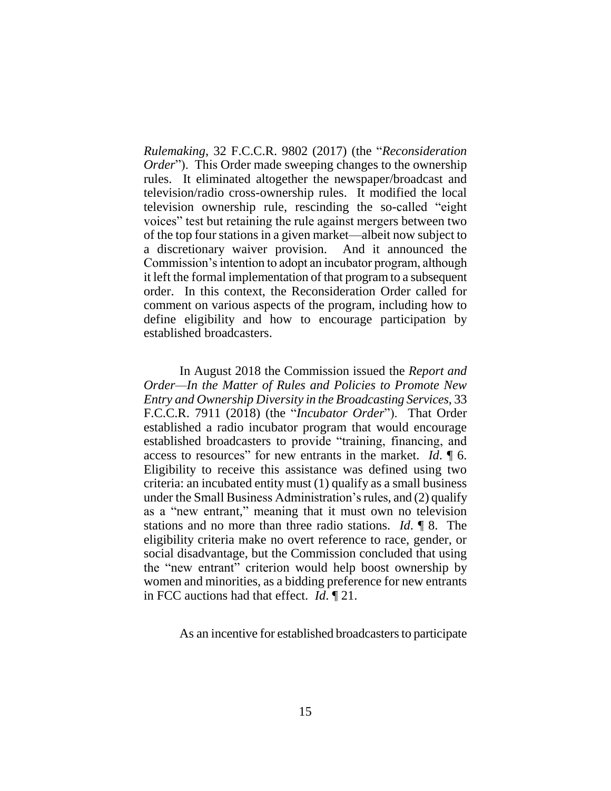*Rulemaking*, 32 F.C.C.R. 9802 (2017) (the "*Reconsideration Order*"). This Order made sweeping changes to the ownership rules. It eliminated altogether the newspaper/broadcast and television/radio cross-ownership rules. It modified the local television ownership rule, rescinding the so-called "eight voices" test but retaining the rule against mergers between two of the top four stations in a given market—albeit now subject to a discretionary waiver provision. And it announced the Commission's intention to adopt an incubator program, although it left the formal implementation of that program to a subsequent order. In this context, the Reconsideration Order called for comment on various aspects of the program, including how to define eligibility and how to encourage participation by established broadcasters.

In August 2018 the Commission issued the *Report and Order—In the Matter of Rules and Policies to Promote New Entry and Ownership Diversity in the Broadcasting Services*, 33 F.C.C.R. 7911 (2018) (the "*Incubator Order*"). That Order established a radio incubator program that would encourage established broadcasters to provide "training, financing, and access to resources" for new entrants in the market. *Id*. ¶ 6. Eligibility to receive this assistance was defined using two criteria: an incubated entity must (1) qualify as a small business under the Small Business Administration's rules, and (2) qualify as a "new entrant," meaning that it must own no television stations and no more than three radio stations. *Id*. ¶ 8. The eligibility criteria make no overt reference to race, gender, or social disadvantage, but the Commission concluded that using the "new entrant" criterion would help boost ownership by women and minorities, as a bidding preference for new entrants in FCC auctions had that effect. *Id*. ¶ 21.

As an incentive for established broadcasters to participate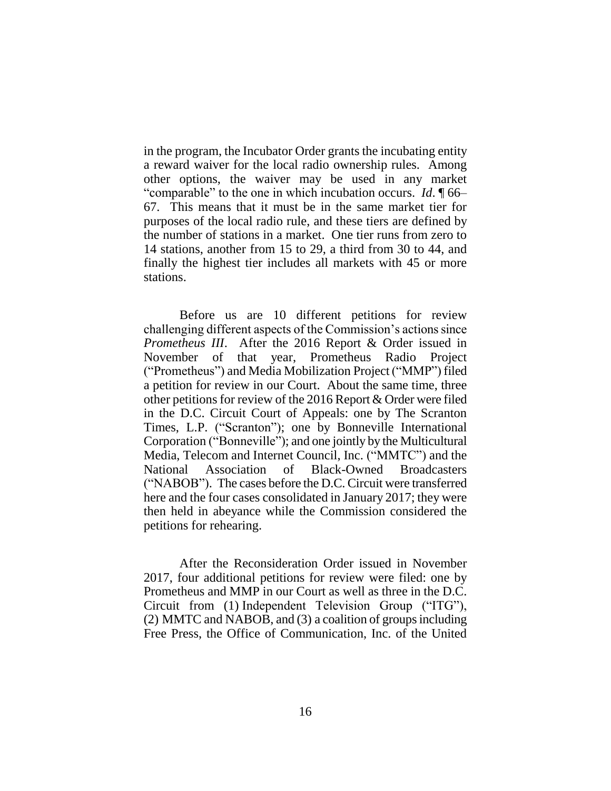in the program, the Incubator Order grants the incubating entity a reward waiver for the local radio ownership rules. Among other options, the waiver may be used in any market "comparable" to the one in which incubation occurs. *Id*. ¶ 66– 67. This means that it must be in the same market tier for purposes of the local radio rule, and these tiers are defined by the number of stations in a market. One tier runs from zero to 14 stations, another from 15 to 29, a third from 30 to 44, and finally the highest tier includes all markets with 45 or more stations.

Before us are 10 different petitions for review challenging different aspects of the Commission's actions since *Prometheus III*. After the 2016 Report & Order issued in November of that year, Prometheus Radio Project ("Prometheus") and Media Mobilization Project ("MMP") filed a petition for review in our Court. About the same time, three other petitions for review of the 2016 Report & Order were filed in the D.C. Circuit Court of Appeals: one by The Scranton Times, L.P. ("Scranton"); one by Bonneville International Corporation ("Bonneville"); and one jointly by the Multicultural Media, Telecom and Internet Council, Inc. ("MMTC") and the National Association of Black-Owned Broadcasters ("NABOB"). The cases before the D.C. Circuit were transferred here and the four cases consolidated in January 2017; they were then held in abeyance while the Commission considered the petitions for rehearing.

After the Reconsideration Order issued in November 2017, four additional petitions for review were filed: one by Prometheus and MMP in our Court as well as three in the D.C. Circuit from (1) Independent Television Group ("ITG"), (2) MMTC and NABOB, and (3) a coalition of groups including Free Press, the Office of Communication, Inc. of the United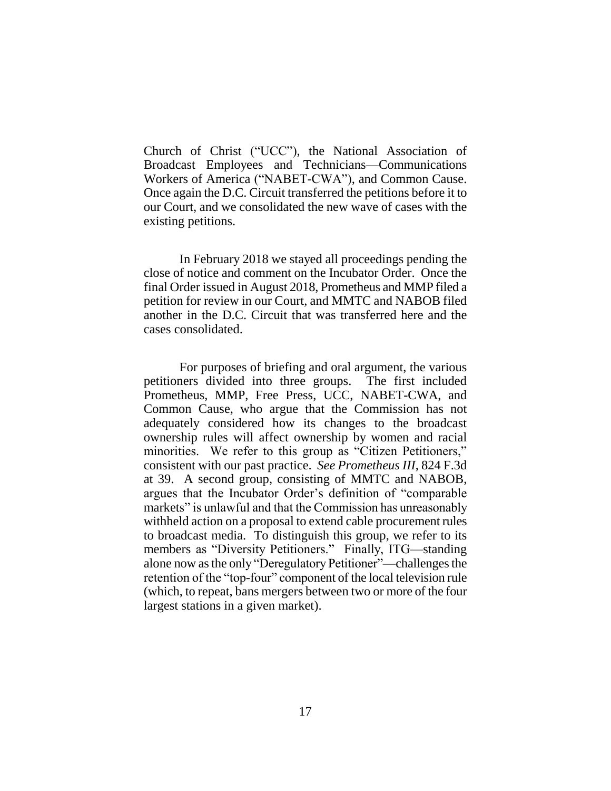Church of Christ ("UCC"), the National Association of Broadcast Employees and Technicians—Communications Workers of America ("NABET-CWA"), and Common Cause. Once again the D.C. Circuit transferred the petitions before it to our Court, and we consolidated the new wave of cases with the existing petitions.

In February 2018 we stayed all proceedings pending the close of notice and comment on the Incubator Order. Once the final Order issued in August 2018, Prometheus and MMP filed a petition for review in our Court, and MMTC and NABOB filed another in the D.C. Circuit that was transferred here and the cases consolidated.

For purposes of briefing and oral argument, the various petitioners divided into three groups. The first included Prometheus, MMP, Free Press, UCC, NABET-CWA, and Common Cause, who argue that the Commission has not adequately considered how its changes to the broadcast ownership rules will affect ownership by women and racial minorities. We refer to this group as "Citizen Petitioners," consistent with our past practice. *See Prometheus III*, 824 F.3d at 39. A second group, consisting of MMTC and NABOB, argues that the Incubator Order's definition of "comparable markets" is unlawful and that the Commission has unreasonably withheld action on a proposal to extend cable procurement rules to broadcast media. To distinguish this group, we refer to its members as "Diversity Petitioners." Finally, ITG—standing alone now as the only "Deregulatory Petitioner"—challenges the retention of the "top-four" component of the local television rule (which, to repeat, bans mergers between two or more of the four largest stations in a given market).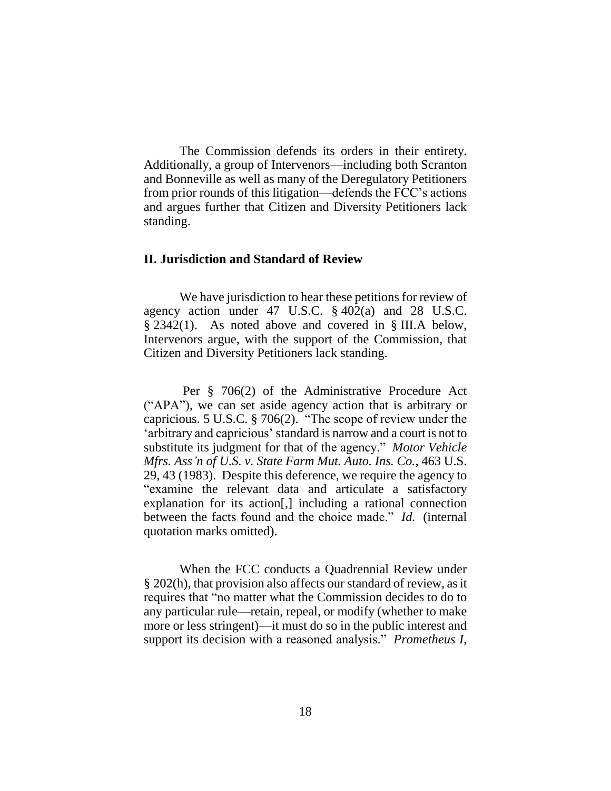The Commission defends its orders in their entirety. Additionally, a group of Intervenors—including both Scranton and Bonneville as well as many of the Deregulatory Petitioners from prior rounds of this litigation—defends the FCC's actions and argues further that Citizen and Diversity Petitioners lack standing.

### **II. Jurisdiction and Standard of Review**

We have jurisdiction to hear these petitions for review of agency action under 47 U.S.C. § 402(a) and 28 U.S.C. § 2342(1). As noted above and covered in § III.A below, Intervenors argue, with the support of the Commission, that Citizen and Diversity Petitioners lack standing.

Per § 706(2) of the Administrative Procedure Act ("APA"), we can set aside agency action that is arbitrary or capricious. 5 U.S.C. § 706(2). "The scope of review under the 'arbitrary and capricious' standard is narrow and a court is not to substitute its judgment for that of the agency." *Motor Vehicle Mfrs. Ass'n of U.S. v. State Farm Mut. Auto. Ins. Co.*, 463 U.S. 29, 43 (1983). Despite this deference, we require the agency to "examine the relevant data and articulate a satisfactory explanation for its action[,] including a rational connection between the facts found and the choice made." *Id.* (internal quotation marks omitted).

When the FCC conducts a Quadrennial Review under § 202(h), that provision also affects our standard of review, as it requires that "no matter what the Commission decides to do to any particular rule—retain, repeal, or modify (whether to make more or less stringent)—it must do so in the public interest and support its decision with a reasoned analysis." *Prometheus I*,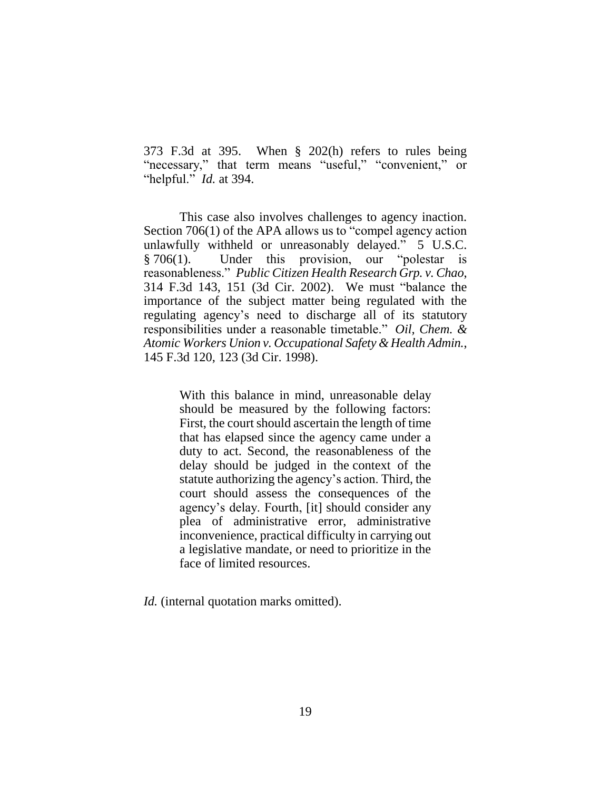373 F.3d at 395. When § 202(h) refers to rules being "necessary," that term means "useful," "convenient," or "helpful." *Id.* at 394.

This case also involves challenges to agency inaction. Section 706(1) of the APA allows us to "compel agency action unlawfully withheld or unreasonably delayed." 5 U.S.C. § 706(1). Under this provision, our "polestar is reasonableness." *Public Citizen Health Research Grp. v. Chao*, 314 F.3d 143, 151 (3d Cir. 2002). We must "balance the importance of the subject matter being regulated with the regulating agency's need to discharge all of its statutory responsibilities under a reasonable timetable." *Oil, Chem. & Atomic Workers Union v. Occupational Safety & Health Admin.*, 145 F.3d 120, 123 (3d Cir. 1998).

> With this balance in mind, unreasonable delay should be measured by the following factors: First, the court should ascertain the length of time that has elapsed since the agency came under a duty to act. Second, the reasonableness of the delay should be judged in the context of the statute authorizing the agency's action. Third, the court should assess the consequences of the agency's delay. Fourth, [it] should consider any plea of administrative error, administrative inconvenience, practical difficulty in carrying out a legislative mandate, or need to prioritize in the face of limited resources.

*Id.* (internal quotation marks omitted).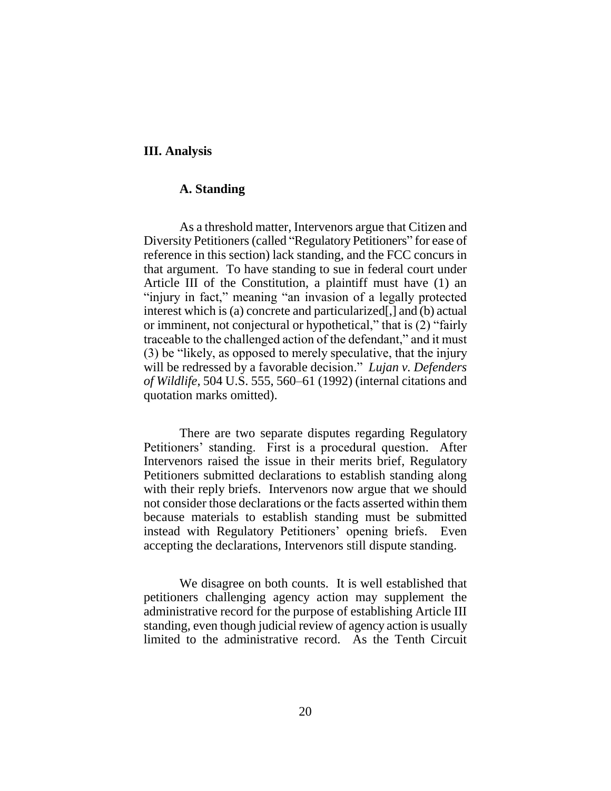### **III. Analysis**

### **A. Standing**

As a threshold matter, Intervenors argue that Citizen and Diversity Petitioners (called "Regulatory Petitioners" for ease of reference in this section) lack standing, and the FCC concurs in that argument. To have standing to sue in federal court under Article III of the Constitution, a plaintiff must have (1) an "injury in fact," meaning "an invasion of a legally protected interest which is (a) concrete and particularized[,] and (b) actual or imminent, not conjectural or hypothetical," that is (2) "fairly traceable to the challenged action of the defendant," and it must (3) be "likely, as opposed to merely speculative, that the injury will be redressed by a favorable decision." *Lujan v. Defenders of Wildlife*, 504 U.S. 555, 560–61 (1992) (internal citations and quotation marks omitted).

There are two separate disputes regarding Regulatory Petitioners' standing. First is a procedural question. After Intervenors raised the issue in their merits brief, Regulatory Petitioners submitted declarations to establish standing along with their reply briefs. Intervenors now argue that we should not consider those declarations or the facts asserted within them because materials to establish standing must be submitted instead with Regulatory Petitioners' opening briefs. Even accepting the declarations, Intervenors still dispute standing.

We disagree on both counts. It is well established that petitioners challenging agency action may supplement the administrative record for the purpose of establishing Article III standing, even though judicial review of agency action is usually limited to the administrative record. As the Tenth Circuit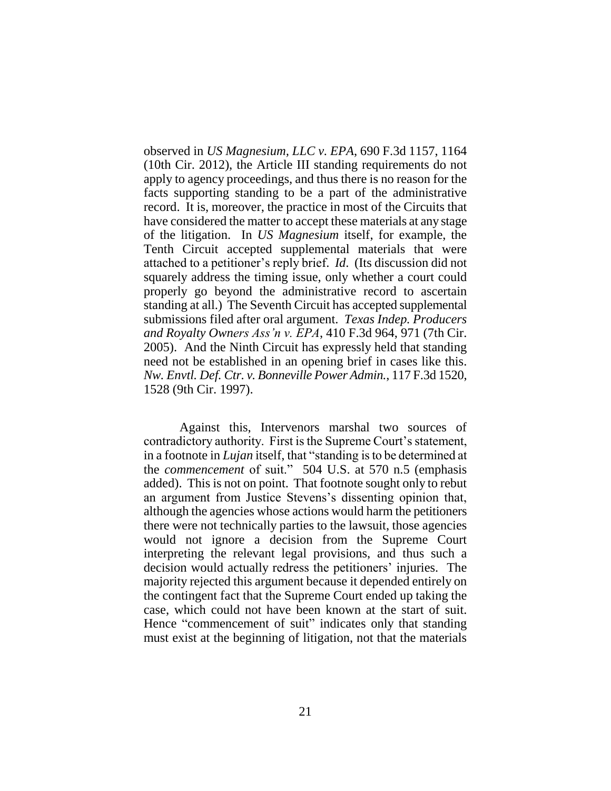observed in *US Magnesium, LLC v. EPA*, 690 F.3d 1157, 1164 (10th Cir. 2012), the Article III standing requirements do not apply to agency proceedings, and thus there is no reason for the facts supporting standing to be a part of the administrative record. It is, moreover, the practice in most of the Circuits that have considered the matter to accept these materials at any stage of the litigation. In *US Magnesium* itself, for example, the Tenth Circuit accepted supplemental materials that were attached to a petitioner's reply brief. *Id*. (Its discussion did not squarely address the timing issue, only whether a court could properly go beyond the administrative record to ascertain standing at all.) The Seventh Circuit has accepted supplemental submissions filed after oral argument. *Texas Indep. Producers and Royalty Owners Ass'n v. EPA*, 410 F.3d 964, 971 (7th Cir. 2005). And the Ninth Circuit has expressly held that standing need not be established in an opening brief in cases like this. *Nw. Envtl. Def. Ctr. v. Bonneville Power Admin.*, 117 F.3d 1520, 1528 (9th Cir. 1997).

Against this, Intervenors marshal two sources of contradictory authority. First is the Supreme Court's statement, in a footnote in *Lujan* itself, that "standing is to be determined at the *commencement* of suit." 504 U.S. at 570 n.5 (emphasis added). This is not on point. That footnote sought only to rebut an argument from Justice Stevens's dissenting opinion that, although the agencies whose actions would harm the petitioners there were not technically parties to the lawsuit, those agencies would not ignore a decision from the Supreme Court interpreting the relevant legal provisions, and thus such a decision would actually redress the petitioners' injuries. The majority rejected this argument because it depended entirely on the contingent fact that the Supreme Court ended up taking the case, which could not have been known at the start of suit. Hence "commencement of suit" indicates only that standing must exist at the beginning of litigation, not that the materials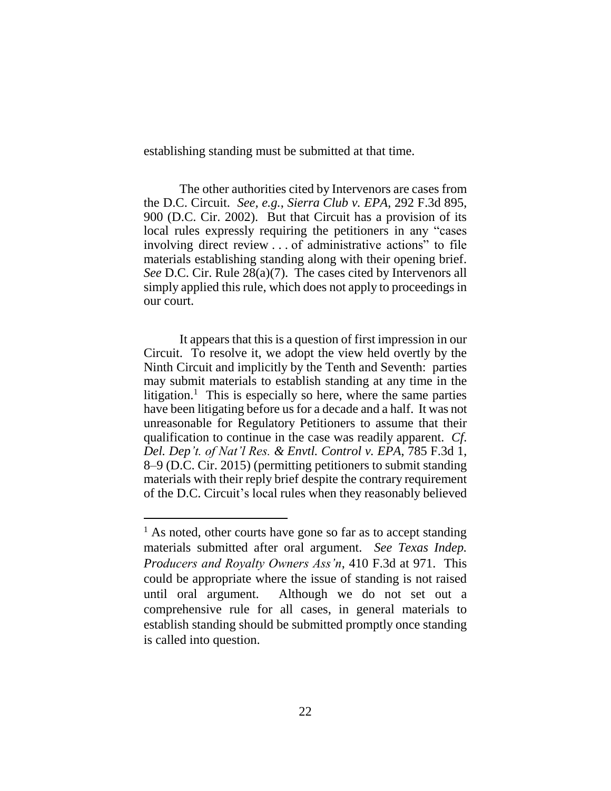establishing standing must be submitted at that time.

The other authorities cited by Intervenors are cases from the D.C. Circuit. *See, e.g.*, *Sierra Club v. EPA*, 292 F.3d 895, 900 (D.C. Cir. 2002). But that Circuit has a provision of its local rules expressly requiring the petitioners in any "cases involving direct review . . . of administrative actions" to file materials establishing standing along with their opening brief. *See* D.C. Cir. Rule 28(a)(7). The cases cited by Intervenors all simply applied this rule, which does not apply to proceedings in our court.

It appears that this is a question of first impression in our Circuit. To resolve it, we adopt the view held overtly by the Ninth Circuit and implicitly by the Tenth and Seventh: parties may submit materials to establish standing at any time in the litigation.<sup>1</sup> This is especially so here, where the same parties have been litigating before us for a decade and a half. It was not unreasonable for Regulatory Petitioners to assume that their qualification to continue in the case was readily apparent. *Cf*. *Del. Dep't. of Nat'l Res. & Envtl. Control v. EPA*, 785 F.3d 1, 8–9 (D.C. Cir. 2015) (permitting petitioners to submit standing materials with their reply brief despite the contrary requirement of the D.C. Circuit's local rules when they reasonably believed

 $\overline{a}$ 

 $<sup>1</sup>$  As noted, other courts have gone so far as to accept standing</sup> materials submitted after oral argument. *See Texas Indep. Producers and Royalty Owners Ass'n*, 410 F.3d at 971. This could be appropriate where the issue of standing is not raised until oral argument. Although we do not set out a comprehensive rule for all cases, in general materials to establish standing should be submitted promptly once standing is called into question.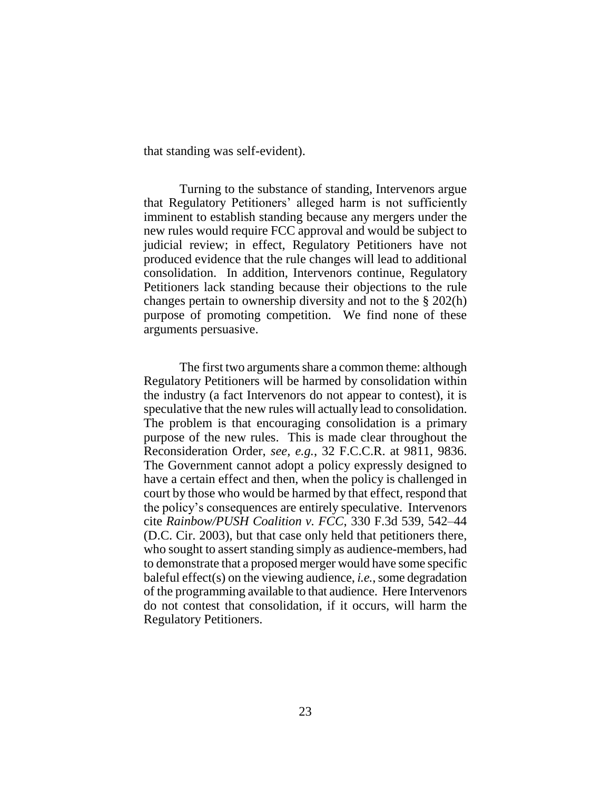that standing was self-evident).

Turning to the substance of standing, Intervenors argue that Regulatory Petitioners' alleged harm is not sufficiently imminent to establish standing because any mergers under the new rules would require FCC approval and would be subject to judicial review; in effect, Regulatory Petitioners have not produced evidence that the rule changes will lead to additional consolidation. In addition, Intervenors continue, Regulatory Petitioners lack standing because their objections to the rule changes pertain to ownership diversity and not to the § 202(h) purpose of promoting competition. We find none of these arguments persuasive.

The first two arguments share a common theme: although Regulatory Petitioners will be harmed by consolidation within the industry (a fact Intervenors do not appear to contest), it is speculative that the new rules will actually lead to consolidation. The problem is that encouraging consolidation is a primary purpose of the new rules. This is made clear throughout the Reconsideration Order, *see, e.g.*, 32 F.C.C.R. at 9811, 9836. The Government cannot adopt a policy expressly designed to have a certain effect and then, when the policy is challenged in court by those who would be harmed by that effect, respond that the policy's consequences are entirely speculative. Intervenors cite *Rainbow/PUSH Coalition v. FCC*, 330 F.3d 539, 542–44 (D.C. Cir. 2003), but that case only held that petitioners there, who sought to assert standing simply as audience-members, had to demonstrate that a proposed merger would have some specific baleful effect(s) on the viewing audience, *i.e.*, some degradation of the programming available to that audience. Here Intervenors do not contest that consolidation, if it occurs, will harm the Regulatory Petitioners.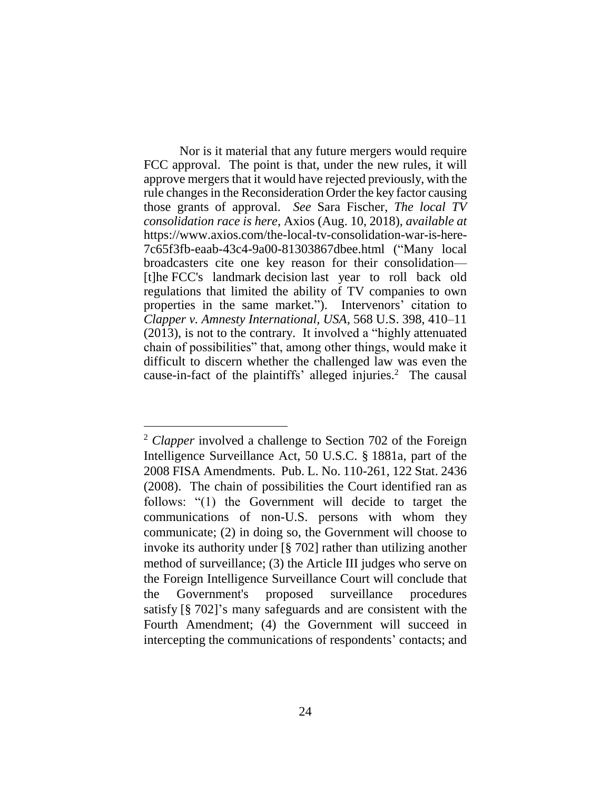Nor is it material that any future mergers would require FCC approval. The point is that, under the new rules, it will approve mergers that it would have rejected previously, with the rule changes in the Reconsideration Order the key factor causing those grants of approval. *See* Sara Fischer, *The local TV consolidation race is here*, Axios (Aug. 10, 2018), *available at* https://www.axios.com/the-local-tv-consolidation-war-is-here-7c65f3fb-eaab-43c4-9a00-81303867dbee.html ("Many local broadcasters cite one key reason for their consolidation— [t]he FCC's landmark decision last year to roll back old regulations that limited the ability of TV companies to own properties in the same market."). Intervenors' citation to *Clapper v. Amnesty International, USA*, 568 U.S. 398, 410–11 (2013), is not to the contrary. It involved a "highly attenuated chain of possibilities" that, among other things, would make it difficult to discern whether the challenged law was even the cause-in-fact of the plaintiffs' alleged injuries.<sup>2</sup> The causal

<sup>2</sup> *Clapper* involved a challenge to Section 702 of the Foreign Intelligence Surveillance Act, 50 U.S.C. § 1881a, part of the 2008 FISA Amendments. Pub. L. No. 110-261, 122 Stat. 2436 (2008). The chain of possibilities the Court identified ran as follows: "(1) the Government will decide to target the communications of non-U.S. persons with whom they communicate; (2) in doing so, the Government will choose to invoke its authority under [§ 702] rather than utilizing another method of surveillance; (3) the Article III judges who serve on the Foreign Intelligence Surveillance Court will conclude that the Government's proposed surveillance procedures satisfy [§ 702]'s many safeguards and are consistent with the Fourth Amendment; (4) the Government will succeed in intercepting the communications of respondents' contacts; and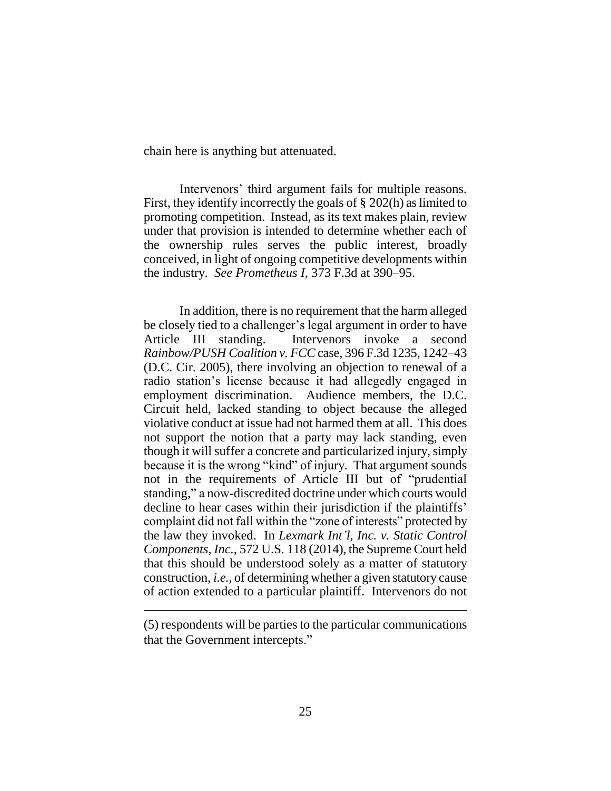chain here is anything but attenuated.

Intervenors' third argument fails for multiple reasons. First, they identify incorrectly the goals of § 202(h) as limited to promoting competition. Instead, as its text makes plain, review under that provision is intended to determine whether each of the ownership rules serves the public interest, broadly conceived, in light of ongoing competitive developments within the industry. *See Prometheus I*, 373 F.3d at 390–95.

In addition, there is no requirement that the harm alleged be closely tied to a challenger's legal argument in order to have Article III standing. Intervenors invoke a second *Rainbow/PUSH Coalition v. FCC* case, 396 F.3d 1235, 1242–43 (D.C. Cir. 2005), there involving an objection to renewal of a radio station's license because it had allegedly engaged in employment discrimination. Audience members, the D.C. Circuit held, lacked standing to object because the alleged violative conduct at issue had not harmed them at all. This does not support the notion that a party may lack standing, even though it will suffer a concrete and particularized injury, simply because it is the wrong "kind" of injury. That argument sounds not in the requirements of Article III but of "prudential standing," a now-discredited doctrine under which courts would decline to hear cases within their jurisdiction if the plaintiffs' complaint did not fall within the "zone of interests" protected by the law they invoked. In *Lexmark Int'l, Inc. v. Static Control Components, Inc.*, 572 U.S. 118 (2014), the Supreme Court held that this should be understood solely as a matter of statutory construction, *i.e.*, of determining whether a given statutory cause of action extended to a particular plaintiff. Intervenors do not

 $\overline{a}$ 

<sup>(5)</sup> respondents will be parties to the particular communications that the Government intercepts."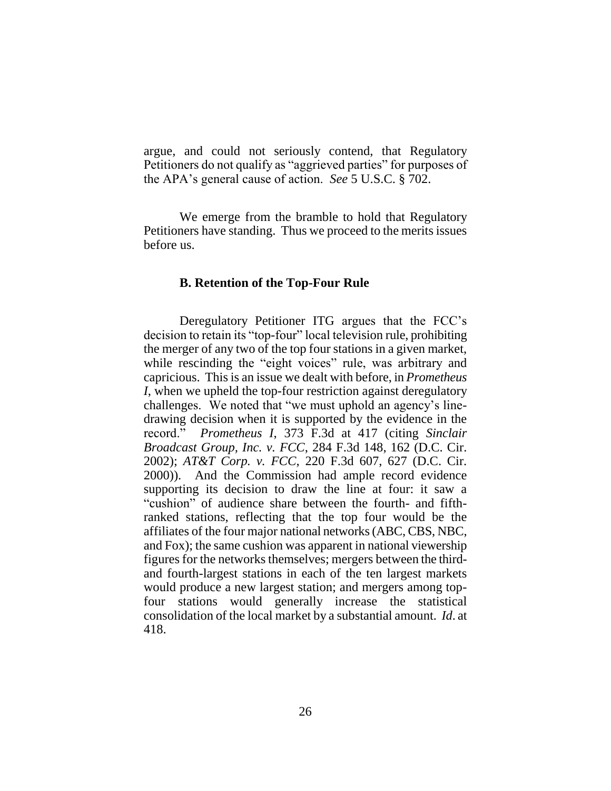argue, and could not seriously contend, that Regulatory Petitioners do not qualify as "aggrieved parties" for purposes of the APA's general cause of action. *See* 5 U.S.C. § 702.

We emerge from the bramble to hold that Regulatory Petitioners have standing. Thus we proceed to the merits issues before us.

### **B. Retention of the Top-Four Rule**

Deregulatory Petitioner ITG argues that the FCC's decision to retain its "top-four" local television rule, prohibiting the merger of any two of the top four stations in a given market, while rescinding the "eight voices" rule, was arbitrary and capricious. This is an issue we dealt with before, in *Prometheus I*, when we upheld the top-four restriction against deregulatory challenges. We noted that "we must uphold an agency's linedrawing decision when it is supported by the evidence in the record." *Prometheus I*, 373 F.3d at 417 (citing *Sinclair Broadcast Group, Inc. v. FCC*, 284 F.3d 148, 162 (D.C. Cir. 2002); *AT&T Corp. v. FCC*, 220 F.3d 607, 627 (D.C. Cir. 2000)). And the Commission had ample record evidence supporting its decision to draw the line at four: it saw a "cushion" of audience share between the fourth- and fifthranked stations, reflecting that the top four would be the affiliates of the four major national networks (ABC, CBS, NBC, and Fox); the same cushion was apparent in national viewership figures for the networks themselves; mergers between the thirdand fourth-largest stations in each of the ten largest markets would produce a new largest station; and mergers among topfour stations would generally increase the statistical consolidation of the local market by a substantial amount. *Id*. at 418.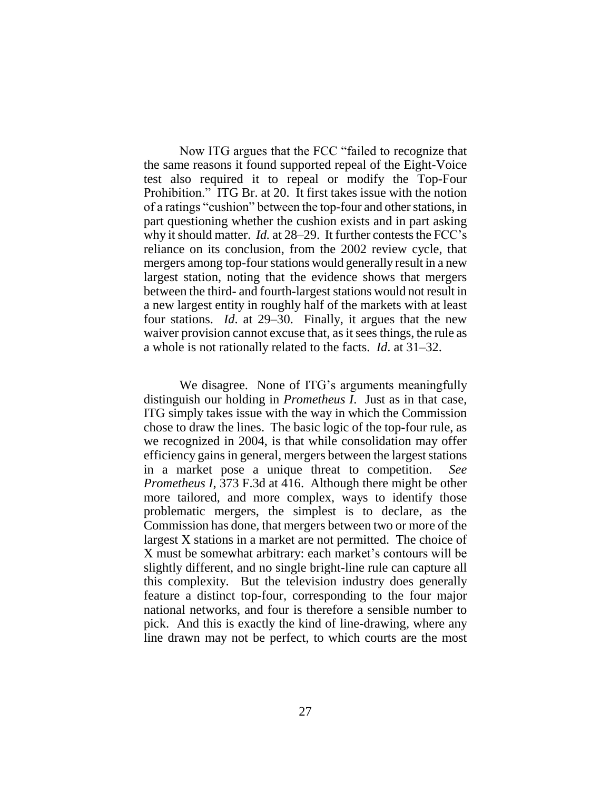Now ITG argues that the FCC "failed to recognize that the same reasons it found supported repeal of the Eight-Voice test also required it to repeal or modify the Top-Four Prohibition." ITG Br. at 20. It first takes issue with the notion of a ratings "cushion" between the top-four and other stations, in part questioning whether the cushion exists and in part asking why it should matter. *Id.* at 28–29. It further contests the FCC's reliance on its conclusion, from the 2002 review cycle, that mergers among top-four stations would generally result in a new largest station, noting that the evidence shows that mergers between the third- and fourth-largest stations would not result in a new largest entity in roughly half of the markets with at least four stations. *Id*. at 29–30. Finally, it argues that the new waiver provision cannot excuse that, as it sees things, the rule as a whole is not rationally related to the facts. *Id*. at 31–32.

We disagree. None of ITG's arguments meaningfully distinguish our holding in *Prometheus I*. Just as in that case, ITG simply takes issue with the way in which the Commission chose to draw the lines. The basic logic of the top-four rule, as we recognized in 2004, is that while consolidation may offer efficiency gains in general, mergers between the largest stations in a market pose a unique threat to competition. *See Prometheus I*, 373 F.3d at 416. Although there might be other more tailored, and more complex, ways to identify those problematic mergers, the simplest is to declare, as the Commission has done, that mergers between two or more of the largest X stations in a market are not permitted. The choice of X must be somewhat arbitrary: each market's contours will be slightly different, and no single bright-line rule can capture all this complexity. But the television industry does generally feature a distinct top-four, corresponding to the four major national networks, and four is therefore a sensible number to pick. And this is exactly the kind of line-drawing, where any line drawn may not be perfect, to which courts are the most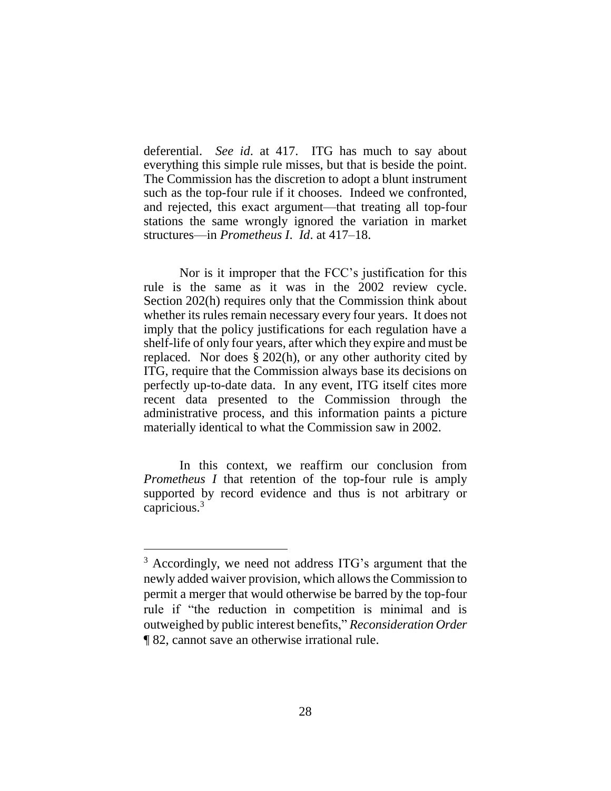deferential. *See id*. at 417. ITG has much to say about everything this simple rule misses, but that is beside the point. The Commission has the discretion to adopt a blunt instrument such as the top-four rule if it chooses. Indeed we confronted, and rejected, this exact argument—that treating all top-four stations the same wrongly ignored the variation in market structures—in *Prometheus I*. *Id*. at 417–18.

Nor is it improper that the FCC's justification for this rule is the same as it was in the 2002 review cycle. Section 202(h) requires only that the Commission think about whether its rules remain necessary every four years. It does not imply that the policy justifications for each regulation have a shelf-life of only four years, after which they expire and must be replaced. Nor does § 202(h), or any other authority cited by ITG, require that the Commission always base its decisions on perfectly up-to-date data. In any event, ITG itself cites more recent data presented to the Commission through the administrative process, and this information paints a picture materially identical to what the Commission saw in 2002.

In this context, we reaffirm our conclusion from *Prometheus I* that retention of the top-four rule is amply supported by record evidence and thus is not arbitrary or capricious.<sup>3</sup>

 $\overline{a}$ 

<sup>3</sup> Accordingly, we need not address ITG's argument that the newly added waiver provision, which allows the Commission to permit a merger that would otherwise be barred by the top-four rule if "the reduction in competition is minimal and is outweighed by public interest benefits," *Reconsideration Order* ¶ 82, cannot save an otherwise irrational rule.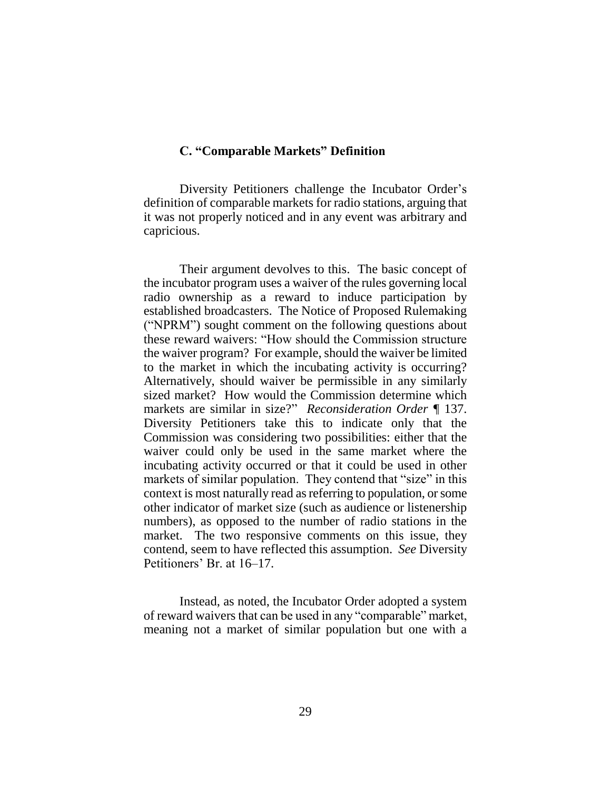# **C. "Comparable Markets" Definition**

Diversity Petitioners challenge the Incubator Order's definition of comparable markets for radio stations, arguing that it was not properly noticed and in any event was arbitrary and capricious.

Their argument devolves to this. The basic concept of the incubator program uses a waiver of the rules governing local radio ownership as a reward to induce participation by established broadcasters. The Notice of Proposed Rulemaking ("NPRM") sought comment on the following questions about these reward waivers: "How should the Commission structure the waiver program? For example, should the waiver be limited to the market in which the incubating activity is occurring? Alternatively, should waiver be permissible in any similarly sized market? How would the Commission determine which markets are similar in size?" *Reconsideration Order ¶* 137. Diversity Petitioners take this to indicate only that the Commission was considering two possibilities: either that the waiver could only be used in the same market where the incubating activity occurred or that it could be used in other markets of similar population. They contend that "size" in this context is most naturally read as referring to population, or some other indicator of market size (such as audience or listenership numbers), as opposed to the number of radio stations in the market. The two responsive comments on this issue, they contend, seem to have reflected this assumption. *See* Diversity Petitioners' Br. at 16–17.

Instead, as noted, the Incubator Order adopted a system of reward waivers that can be used in any "comparable" market, meaning not a market of similar population but one with a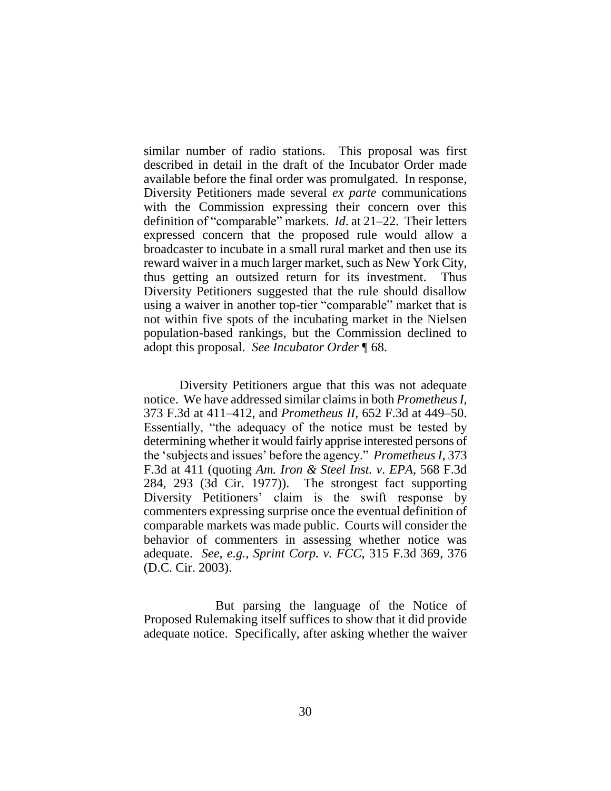similar number of radio stations. This proposal was first described in detail in the draft of the Incubator Order made available before the final order was promulgated. In response, Diversity Petitioners made several *ex parte* communications with the Commission expressing their concern over this definition of "comparable" markets. *Id*. at 21–22. Their letters expressed concern that the proposed rule would allow a broadcaster to incubate in a small rural market and then use its reward waiver in a much larger market, such as New York City, thus getting an outsized return for its investment. Thus Diversity Petitioners suggested that the rule should disallow using a waiver in another top-tier "comparable" market that is not within five spots of the incubating market in the Nielsen population-based rankings, but the Commission declined to adopt this proposal. *See Incubator Order* ¶ 68.

Diversity Petitioners argue that this was not adequate notice. We have addressed similar claims in both *Prometheus I*, 373 F.3d at 411–412, and *Prometheus II*, 652 F.3d at 449–50. Essentially, "the adequacy of the notice must be tested by determining whether it would fairly apprise interested persons of the 'subjects and issues' before the agency." *Prometheus I*, 373 F.3d at 411 (quoting *Am. Iron & Steel Inst. v. EPA*, 568 F.3d 284, 293 (3d Cir. 1977)). The strongest fact supporting Diversity Petitioners' claim is the swift response by commenters expressing surprise once the eventual definition of comparable markets was made public. Courts will consider the behavior of commenters in assessing whether notice was adequate. *See, e.g.*, *Sprint Corp. v. FCC*, 315 F.3d 369, 376 (D.C. Cir. 2003).

But parsing the language of the Notice of Proposed Rulemaking itself suffices to show that it did provide adequate notice. Specifically, after asking whether the waiver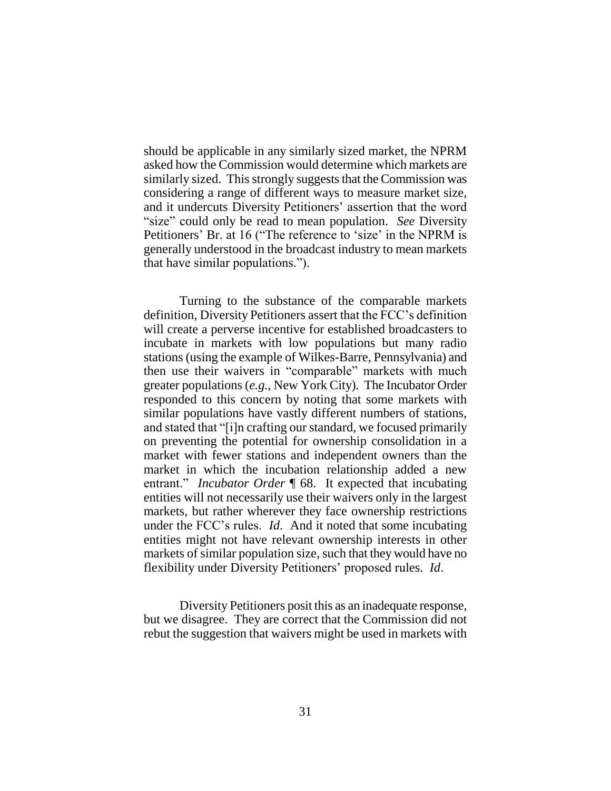should be applicable in any similarly sized market, the NPRM asked how the Commission would determine which markets are similarly sized. This strongly suggests that the Commission was considering a range of different ways to measure market size, and it undercuts Diversity Petitioners' assertion that the word "size" could only be read to mean population. *See* Diversity Petitioners' Br. at 16 ("The reference to 'size' in the NPRM is generally understood in the broadcast industry to mean markets that have similar populations.").

Turning to the substance of the comparable markets definition, Diversity Petitioners assert that the FCC's definition will create a perverse incentive for established broadcasters to incubate in markets with low populations but many radio stations (using the example of Wilkes-Barre, Pennsylvania) and then use their waivers in "comparable" markets with much greater populations (*e.g.*, New York City). The Incubator Order responded to this concern by noting that some markets with similar populations have vastly different numbers of stations, and stated that "[i]n crafting our standard, we focused primarily on preventing the potential for ownership consolidation in a market with fewer stations and independent owners than the market in which the incubation relationship added a new entrant." *Incubator Order* ¶ 68. It expected that incubating entities will not necessarily use their waivers only in the largest markets, but rather wherever they face ownership restrictions under the FCC's rules. *Id*. And it noted that some incubating entities might not have relevant ownership interests in other markets of similar population size, such that they would have no flexibility under Diversity Petitioners' proposed rules. *Id*.

Diversity Petitioners posit this as an inadequate response, but we disagree. They are correct that the Commission did not rebut the suggestion that waivers might be used in markets with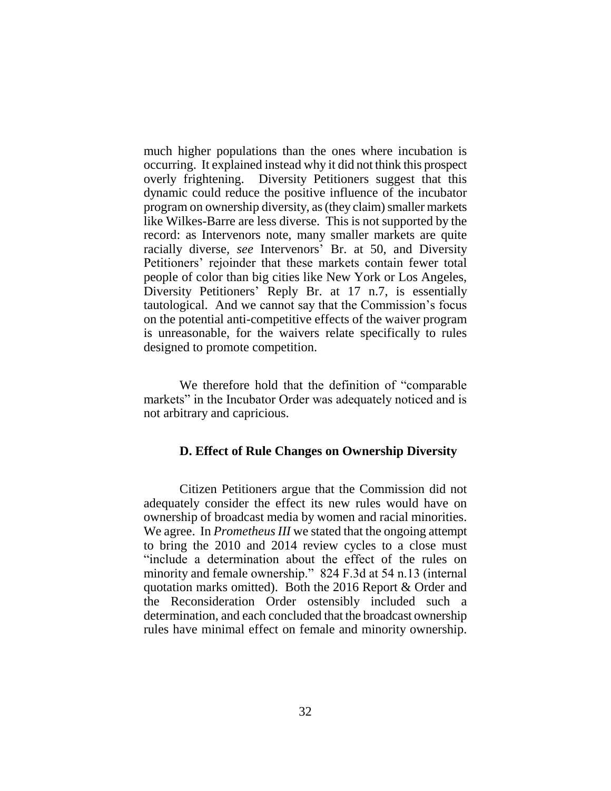much higher populations than the ones where incubation is occurring. It explained instead why it did not think this prospect overly frightening. Diversity Petitioners suggest that this dynamic could reduce the positive influence of the incubator program on ownership diversity, as(they claim) smaller markets like Wilkes-Barre are less diverse. This is not supported by the record: as Intervenors note, many smaller markets are quite racially diverse, *see* Intervenors' Br. at 50, and Diversity Petitioners' rejoinder that these markets contain fewer total people of color than big cities like New York or Los Angeles, Diversity Petitioners' Reply Br. at 17 n.7, is essentially tautological. And we cannot say that the Commission's focus on the potential anti-competitive effects of the waiver program is unreasonable, for the waivers relate specifically to rules designed to promote competition.

We therefore hold that the definition of "comparable markets" in the Incubator Order was adequately noticed and is not arbitrary and capricious.

### **D. Effect of Rule Changes on Ownership Diversity**

Citizen Petitioners argue that the Commission did not adequately consider the effect its new rules would have on ownership of broadcast media by women and racial minorities. We agree. In *Prometheus III* we stated that the ongoing attempt to bring the 2010 and 2014 review cycles to a close must "include a determination about the effect of the rules on minority and female ownership." 824 F.3d at 54 n.13 (internal quotation marks omitted). Both the 2016 Report & Order and the Reconsideration Order ostensibly included such a determination, and each concluded that the broadcast ownership rules have minimal effect on female and minority ownership.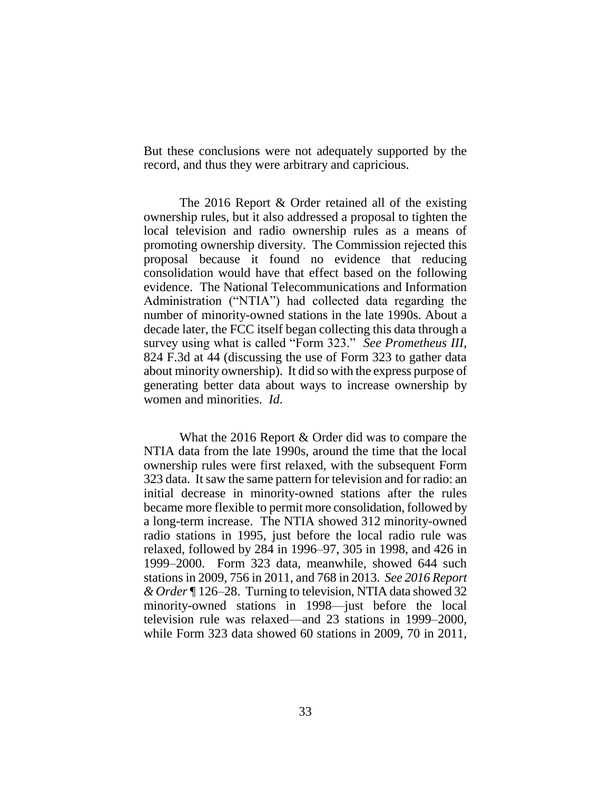But these conclusions were not adequately supported by the record, and thus they were arbitrary and capricious.

The 2016 Report & Order retained all of the existing ownership rules, but it also addressed a proposal to tighten the local television and radio ownership rules as a means of promoting ownership diversity. The Commission rejected this proposal because it found no evidence that reducing consolidation would have that effect based on the following evidence. The National Telecommunications and Information Administration ("NTIA") had collected data regarding the number of minority-owned stations in the late 1990s. About a decade later, the FCC itself began collecting this data through a survey using what is called "Form 323." *See Prometheus III*, 824 F.3d at 44 (discussing the use of Form 323 to gather data about minority ownership). It did so with the express purpose of generating better data about ways to increase ownership by women and minorities. *Id*.

What the 2016 Report & Order did was to compare the NTIA data from the late 1990s, around the time that the local ownership rules were first relaxed, with the subsequent Form 323 data. It saw the same pattern for television and for radio: an initial decrease in minority-owned stations after the rules became more flexible to permit more consolidation, followed by a long-term increase. The NTIA showed 312 minority-owned radio stations in 1995, just before the local radio rule was relaxed, followed by 284 in 1996–97, 305 in 1998, and 426 in 1999–2000. Form 323 data, meanwhile, showed 644 such stations in 2009, 756 in 2011, and 768 in 2013. *See 2016 Report & Order* ¶ 126–28. Turning to television, NTIA data showed 32 minority-owned stations in 1998—just before the local television rule was relaxed—and 23 stations in 1999–2000, while Form 323 data showed 60 stations in 2009, 70 in 2011,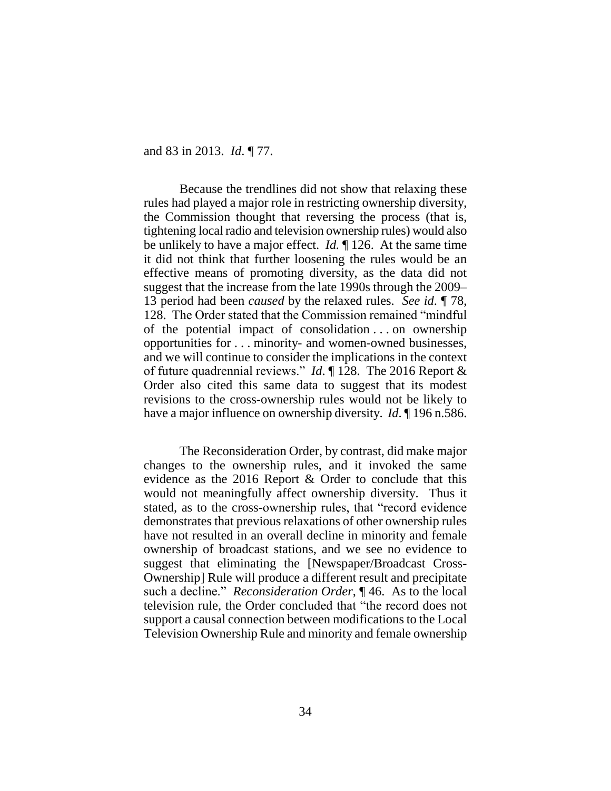and 83 in 2013. *Id*. ¶ 77.

Because the trendlines did not show that relaxing these rules had played a major role in restricting ownership diversity, the Commission thought that reversing the process (that is, tightening local radio and television ownership rules) would also be unlikely to have a major effect. *Id.* ¶ 126. At the same time it did not think that further loosening the rules would be an effective means of promoting diversity, as the data did not suggest that the increase from the late 1990s through the 2009– 13 period had been *caused* by the relaxed rules. *See id*. ¶ 78, 128. The Order stated that the Commission remained "mindful of the potential impact of consolidation . . . on ownership opportunities for . . . minority- and women-owned businesses, and we will continue to consider the implications in the context of future quadrennial reviews." *Id*. ¶ 128. The 2016 Report & Order also cited this same data to suggest that its modest revisions to the cross-ownership rules would not be likely to have a major influence on ownership diversity. *Id*. ¶ 196 n.586.

The Reconsideration Order, by contrast, did make major changes to the ownership rules, and it invoked the same evidence as the 2016 Report & Order to conclude that this would not meaningfully affect ownership diversity. Thus it stated, as to the cross-ownership rules, that "record evidence demonstrates that previous relaxations of other ownership rules have not resulted in an overall decline in minority and female ownership of broadcast stations, and we see no evidence to suggest that eliminating the [Newspaper/Broadcast Cross-Ownership] Rule will produce a different result and precipitate such a decline." *Reconsideration Order*, ¶ 46. As to the local television rule, the Order concluded that "the record does not support a causal connection between modifications to the Local Television Ownership Rule and minority and female ownership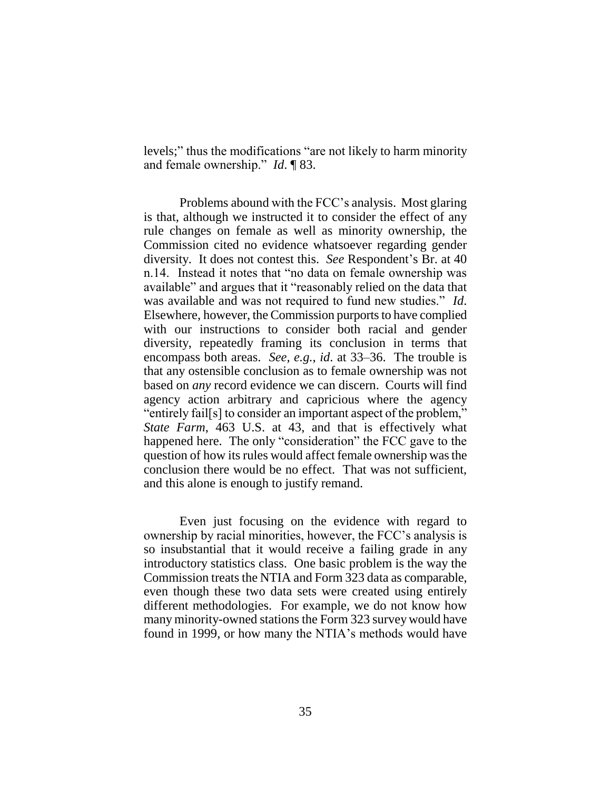levels;" thus the modifications "are not likely to harm minority and female ownership." *Id*. ¶ 83.

Problems abound with the FCC's analysis. Most glaring is that, although we instructed it to consider the effect of any rule changes on female as well as minority ownership, the Commission cited no evidence whatsoever regarding gender diversity. It does not contest this. *See* Respondent's Br. at 40 n.14. Instead it notes that "no data on female ownership was available" and argues that it "reasonably relied on the data that was available and was not required to fund new studies." *Id*. Elsewhere, however, the Commission purports to have complied with our instructions to consider both racial and gender diversity, repeatedly framing its conclusion in terms that encompass both areas. *See, e.g.*, *id*. at 33–36. The trouble is that any ostensible conclusion as to female ownership was not based on *any* record evidence we can discern. Courts will find agency action arbitrary and capricious where the agency "entirely fail[s] to consider an important aspect of the problem," *State Farm*, 463 U.S. at 43, and that is effectively what happened here. The only "consideration" the FCC gave to the question of how its rules would affect female ownership was the conclusion there would be no effect. That was not sufficient, and this alone is enough to justify remand.

Even just focusing on the evidence with regard to ownership by racial minorities, however, the FCC's analysis is so insubstantial that it would receive a failing grade in any introductory statistics class. One basic problem is the way the Commission treats the NTIA and Form 323 data as comparable, even though these two data sets were created using entirely different methodologies. For example, we do not know how many minority-owned stations the Form 323 survey would have found in 1999, or how many the NTIA's methods would have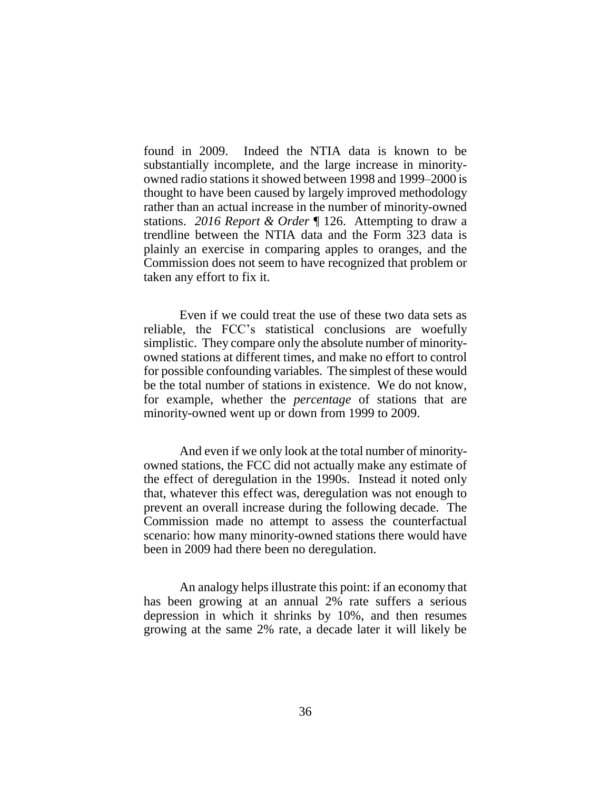found in 2009. Indeed the NTIA data is known to be substantially incomplete, and the large increase in minorityowned radio stations it showed between 1998 and 1999–2000 is thought to have been caused by largely improved methodology rather than an actual increase in the number of minority-owned stations. *2016 Report & Order* ¶ 126. Attempting to draw a trendline between the NTIA data and the Form 323 data is plainly an exercise in comparing apples to oranges, and the Commission does not seem to have recognized that problem or taken any effort to fix it.

Even if we could treat the use of these two data sets as reliable, the FCC's statistical conclusions are woefully simplistic. They compare only the absolute number of minorityowned stations at different times, and make no effort to control for possible confounding variables. The simplest of these would be the total number of stations in existence. We do not know, for example, whether the *percentage* of stations that are minority-owned went up or down from 1999 to 2009.

And even if we only look at the total number of minorityowned stations, the FCC did not actually make any estimate of the effect of deregulation in the 1990s. Instead it noted only that, whatever this effect was, deregulation was not enough to prevent an overall increase during the following decade. The Commission made no attempt to assess the counterfactual scenario: how many minority-owned stations there would have been in 2009 had there been no deregulation.

An analogy helps illustrate this point: if an economy that has been growing at an annual 2% rate suffers a serious depression in which it shrinks by 10%, and then resumes growing at the same 2% rate, a decade later it will likely be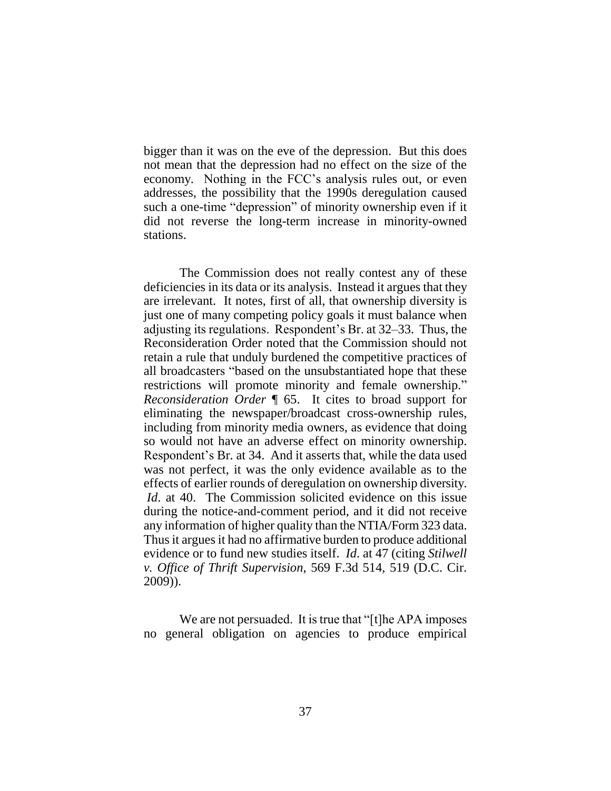bigger than it was on the eve of the depression. But this does not mean that the depression had no effect on the size of the economy. Nothing in the FCC's analysis rules out, or even addresses, the possibility that the 1990s deregulation caused such a one-time "depression" of minority ownership even if it did not reverse the long-term increase in minority-owned stations.

The Commission does not really contest any of these deficiencies in its data or its analysis. Instead it argues that they are irrelevant. It notes, first of all, that ownership diversity is just one of many competing policy goals it must balance when adjusting its regulations. Respondent's Br. at 32–33. Thus, the Reconsideration Order noted that the Commission should not retain a rule that unduly burdened the competitive practices of all broadcasters "based on the unsubstantiated hope that these restrictions will promote minority and female ownership." *Reconsideration Order* ¶ 65. It cites to broad support for eliminating the newspaper/broadcast cross-ownership rules, including from minority media owners, as evidence that doing so would not have an adverse effect on minority ownership. Respondent's Br. at 34. And it asserts that, while the data used was not perfect, it was the only evidence available as to the effects of earlier rounds of deregulation on ownership diversity. *Id.* at 40. The Commission solicited evidence on this issue during the notice-and-comment period, and it did not receive any information of higher quality than the NTIA/Form 323 data. Thus it argues it had no affirmative burden to produce additional evidence or to fund new studies itself. *Id*. at 47 (citing *Stilwell v. Office of Thrift Supervision*, 569 F.3d 514, 519 (D.C. Cir. 2009)).

We are not persuaded. It is true that "[t]he APA imposes no general obligation on agencies to produce empirical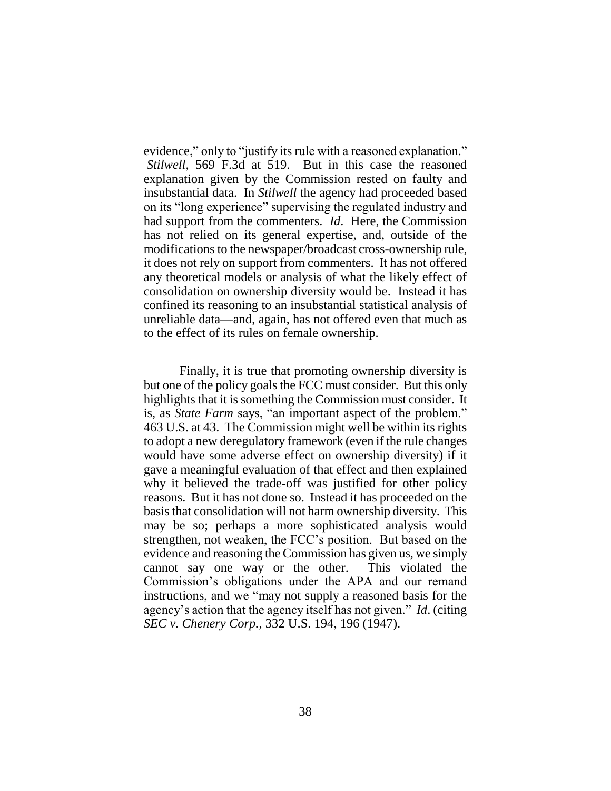evidence," only to "justify its rule with a reasoned explanation." *Stilwell*, 569 F.3d at 519. But in this case the reasoned explanation given by the Commission rested on faulty and insubstantial data. In *Stilwell* the agency had proceeded based on its "long experience" supervising the regulated industry and had support from the commenters. *Id*. Here, the Commission has not relied on its general expertise, and, outside of the modifications to the newspaper/broadcast cross-ownership rule, it does not rely on support from commenters. It has not offered any theoretical models or analysis of what the likely effect of consolidation on ownership diversity would be. Instead it has confined its reasoning to an insubstantial statistical analysis of unreliable data—and, again, has not offered even that much as to the effect of its rules on female ownership.

Finally, it is true that promoting ownership diversity is but one of the policy goals the FCC must consider. But this only highlights that it is something the Commission must consider. It is, as *State Farm* says, "an important aspect of the problem." 463 U.S. at 43. The Commission might well be within its rights to adopt a new deregulatory framework (even if the rule changes would have some adverse effect on ownership diversity) if it gave a meaningful evaluation of that effect and then explained why it believed the trade-off was justified for other policy reasons. But it has not done so. Instead it has proceeded on the basis that consolidation will not harm ownership diversity. This may be so; perhaps a more sophisticated analysis would strengthen, not weaken, the FCC's position. But based on the evidence and reasoning the Commission has given us, we simply cannot say one way or the other. This violated the Commission's obligations under the APA and our remand instructions, and we "may not supply a reasoned basis for the agency's action that the agency itself has not given." *Id*. (citing *SEC v. Chenery Corp.*, 332 U.S. 194, 196 (1947).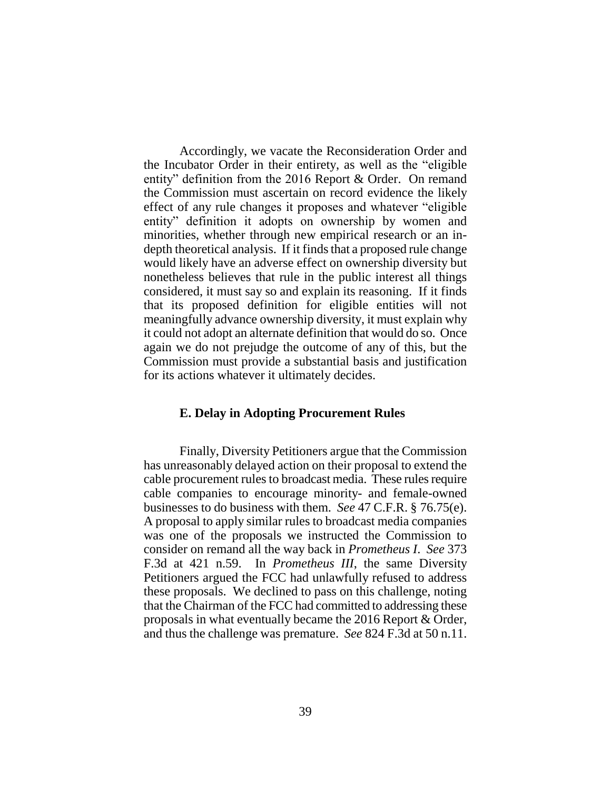Accordingly, we vacate the Reconsideration Order and the Incubator Order in their entirety, as well as the "eligible entity" definition from the 2016 Report & Order. On remand the Commission must ascertain on record evidence the likely effect of any rule changes it proposes and whatever "eligible entity" definition it adopts on ownership by women and minorities, whether through new empirical research or an indepth theoretical analysis. If it finds that a proposed rule change would likely have an adverse effect on ownership diversity but nonetheless believes that rule in the public interest all things considered, it must say so and explain its reasoning. If it finds that its proposed definition for eligible entities will not meaningfully advance ownership diversity, it must explain why it could not adopt an alternate definition that would do so. Once again we do not prejudge the outcome of any of this, but the Commission must provide a substantial basis and justification for its actions whatever it ultimately decides.

#### **E. Delay in Adopting Procurement Rules**

Finally, Diversity Petitioners argue that the Commission has unreasonably delayed action on their proposal to extend the cable procurement rules to broadcast media. These rules require cable companies to encourage minority- and female-owned businesses to do business with them. *See* 47 C.F.R. § 76.75(e). A proposal to apply similar rules to broadcast media companies was one of the proposals we instructed the Commission to consider on remand all the way back in *Prometheus I*. *See* 373 F.3d at 421 n.59. In *Prometheus III*, the same Diversity Petitioners argued the FCC had unlawfully refused to address these proposals. We declined to pass on this challenge, noting that the Chairman of the FCC had committed to addressing these proposals in what eventually became the 2016 Report & Order, and thus the challenge was premature. *See* 824 F.3d at 50 n.11.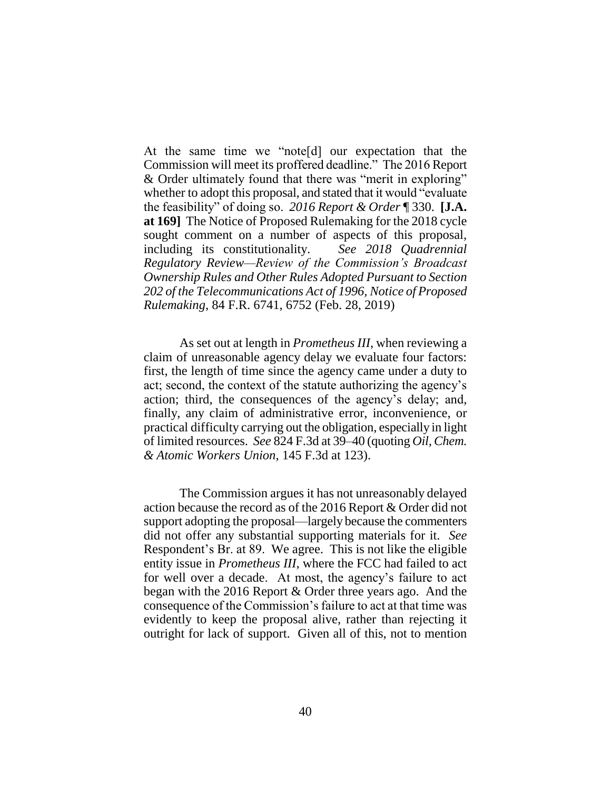At the same time we "note[d] our expectation that the Commission will meet its proffered deadline." The 2016 Report & Order ultimately found that there was "merit in exploring" whether to adopt this proposal, and stated that it would "evaluate the feasibility" of doing so. *2016 Report & Order* ¶ 330. **[J.A. at 169]** The Notice of Proposed Rulemaking for the 2018 cycle sought comment on a number of aspects of this proposal, including its constitutionality. *See 2018 Quadrennial Regulatory Review—Review of the Commission's Broadcast Ownership Rules and Other Rules Adopted Pursuant to Section 202 of the Telecommunications Act of 1996, Notice of Proposed Rulemaking*, 84 F.R. 6741, 6752 (Feb. 28, 2019)

As set out at length in *Prometheus III*, when reviewing a claim of unreasonable agency delay we evaluate four factors: first, the length of time since the agency came under a duty to act; second, the context of the statute authorizing the agency's action; third, the consequences of the agency's delay; and, finally, any claim of administrative error, inconvenience, or practical difficulty carrying out the obligation, especially in light of limited resources. *See* 824 F.3d at 39–40 (quoting *Oil, Chem. & Atomic Workers Union*, 145 F.3d at 123).

The Commission argues it has not unreasonably delayed action because the record as of the 2016 Report & Order did not support adopting the proposal—largely because the commenters did not offer any substantial supporting materials for it. *See*  Respondent's Br. at 89. We agree. This is not like the eligible entity issue in *Prometheus III*, where the FCC had failed to act for well over a decade. At most, the agency's failure to act began with the 2016 Report & Order three years ago. And the consequence of the Commission's failure to act at that time was evidently to keep the proposal alive, rather than rejecting it outright for lack of support. Given all of this, not to mention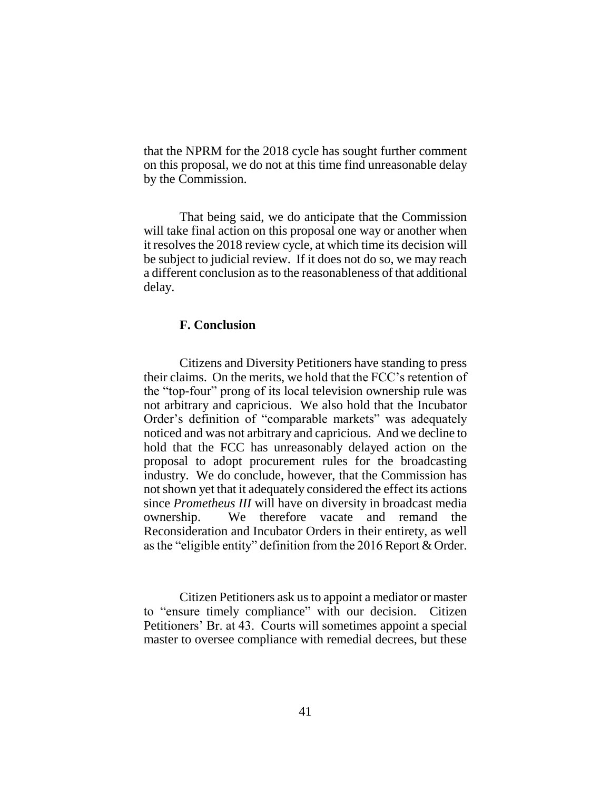that the NPRM for the 2018 cycle has sought further comment on this proposal, we do not at this time find unreasonable delay by the Commission.

That being said, we do anticipate that the Commission will take final action on this proposal one way or another when it resolves the 2018 review cycle, at which time its decision will be subject to judicial review. If it does not do so, we may reach a different conclusion as to the reasonableness of that additional delay.

## **F. Conclusion**

Citizens and Diversity Petitioners have standing to press their claims. On the merits, we hold that the FCC's retention of the "top-four" prong of its local television ownership rule was not arbitrary and capricious. We also hold that the Incubator Order's definition of "comparable markets" was adequately noticed and was not arbitrary and capricious. And we decline to hold that the FCC has unreasonably delayed action on the proposal to adopt procurement rules for the broadcasting industry. We do conclude, however, that the Commission has notshown yet that it adequately considered the effect its actions since *Prometheus III* will have on diversity in broadcast media ownership. We therefore vacate and remand the Reconsideration and Incubator Orders in their entirety, as well as the "eligible entity" definition from the 2016 Report & Order.

Citizen Petitioners ask us to appoint a mediator or master to "ensure timely compliance" with our decision. Citizen Petitioners' Br. at 43. Courts will sometimes appoint a special master to oversee compliance with remedial decrees, but these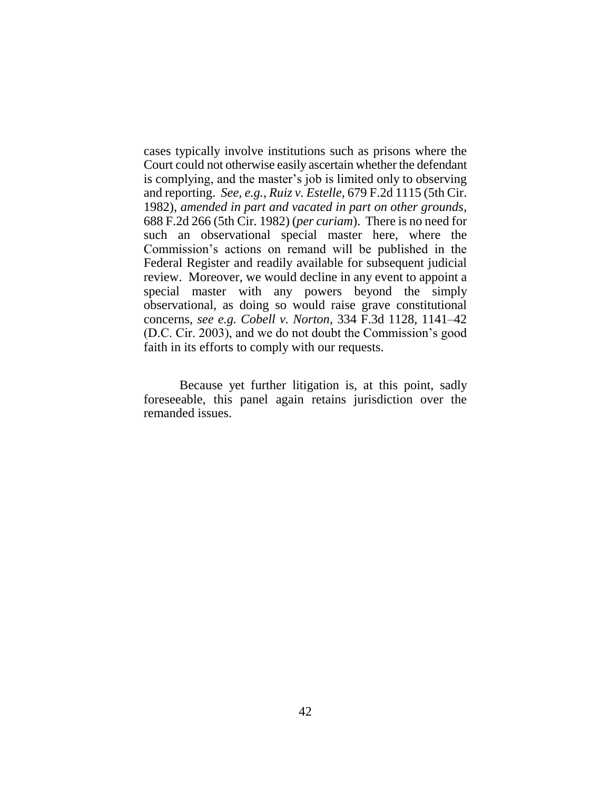cases typically involve institutions such as prisons where the Court could not otherwise easily ascertain whether the defendant is complying, and the master's job is limited only to observing and reporting. *See, e.g.*, *Ruiz v. Estelle*, 679 F.2d 1115 (5th Cir. 1982), *amended in part and vacated in part on other grounds*, 688 F.2d 266 (5th Cir. 1982) (*per curiam*). There is no need for such an observational special master here, where the Commission's actions on remand will be published in the Federal Register and readily available for subsequent judicial review. Moreover, we would decline in any event to appoint a special master with any powers beyond the simply observational, as doing so would raise grave constitutional concerns, *see e.g. Cobell v. Norton*, 334 F.3d 1128, 1141–42 (D.C. Cir. 2003), and we do not doubt the Commission's good faith in its efforts to comply with our requests.

Because yet further litigation is, at this point, sadly foreseeable, this panel again retains jurisdiction over the remanded issues.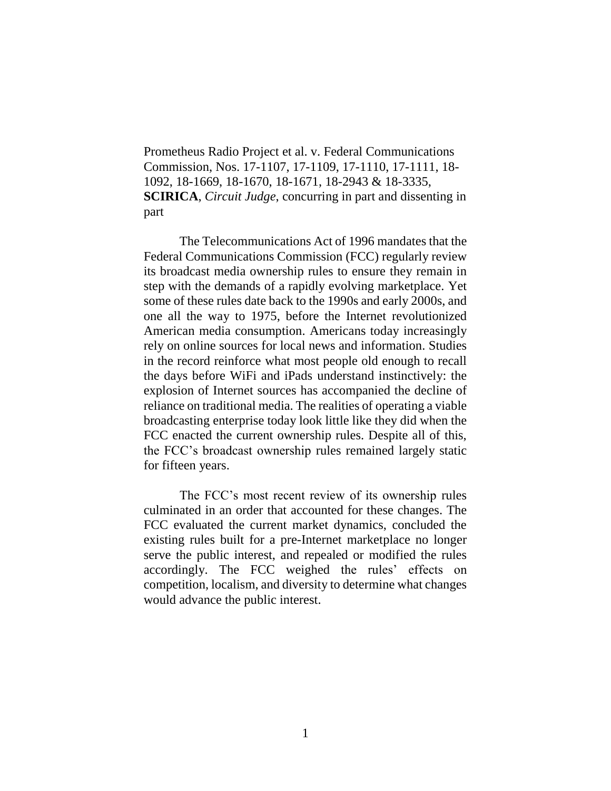Prometheus Radio Project et al. v. Federal Communications Commission, Nos. 17-1107, 17-1109, 17-1110, 17-1111, 18- 1092, 18-1669, 18-1670, 18-1671, 18-2943 & 18-3335, **SCIRICA**, *Circuit Judge*, concurring in part and dissenting in part

The Telecommunications Act of 1996 mandates that the Federal Communications Commission (FCC) regularly review its broadcast media ownership rules to ensure they remain in step with the demands of a rapidly evolving marketplace. Yet some of these rules date back to the 1990s and early 2000s, and one all the way to 1975, before the Internet revolutionized American media consumption. Americans today increasingly rely on online sources for local news and information. Studies in the record reinforce what most people old enough to recall the days before WiFi and iPads understand instinctively: the explosion of Internet sources has accompanied the decline of reliance on traditional media. The realities of operating a viable broadcasting enterprise today look little like they did when the FCC enacted the current ownership rules. Despite all of this, the FCC's broadcast ownership rules remained largely static for fifteen years.

The FCC's most recent review of its ownership rules culminated in an order that accounted for these changes. The FCC evaluated the current market dynamics, concluded the existing rules built for a pre-Internet marketplace no longer serve the public interest, and repealed or modified the rules accordingly. The FCC weighed the rules' effects on competition, localism, and diversity to determine what changes would advance the public interest.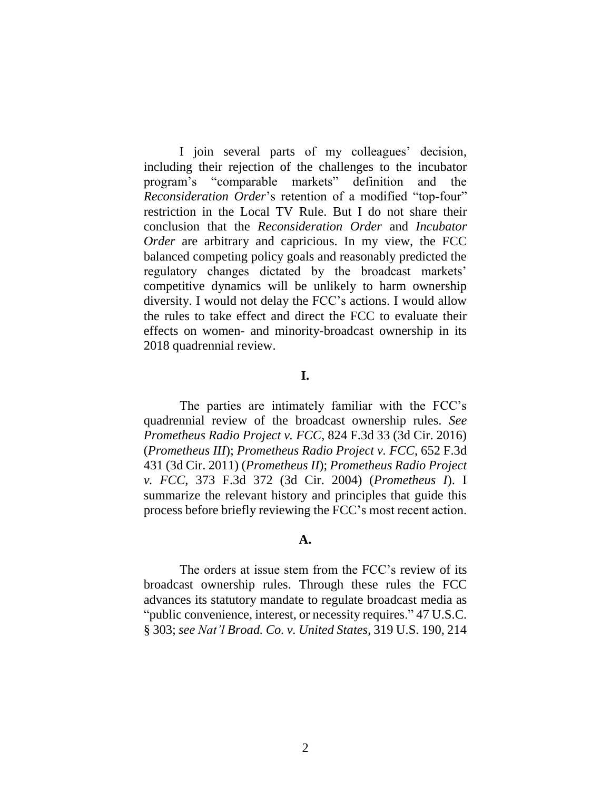I join several parts of my colleagues' decision, including their rejection of the challenges to the incubator program's "comparable markets" definition and the *Reconsideration Order*'s retention of a modified "top-four" restriction in the Local TV Rule. But I do not share their conclusion that the *Reconsideration Order* and *Incubator Order* are arbitrary and capricious. In my view, the FCC balanced competing policy goals and reasonably predicted the regulatory changes dictated by the broadcast markets' competitive dynamics will be unlikely to harm ownership diversity. I would not delay the FCC's actions. I would allow the rules to take effect and direct the FCC to evaluate their effects on women- and minority-broadcast ownership in its 2018 quadrennial review.

# **I.**

The parties are intimately familiar with the FCC's quadrennial review of the broadcast ownership rules. *See Prometheus Radio Project v. FCC*, 824 F.3d 33 (3d Cir. 2016) (*Prometheus III*); *Prometheus Radio Project v. FCC*, 652 F.3d 431 (3d Cir. 2011) (*Prometheus II*); *Prometheus Radio Project v. FCC*, 373 F.3d 372 (3d Cir. 2004) (*Prometheus I*). I summarize the relevant history and principles that guide this process before briefly reviewing the FCC's most recent action.

### **A.**

The orders at issue stem from the FCC's review of its broadcast ownership rules. Through these rules the FCC advances its statutory mandate to regulate broadcast media as "public convenience, interest, or necessity requires." 47 U.S.C. § 303; *see Nat'l Broad. Co. v. United States*, 319 U.S. 190, 214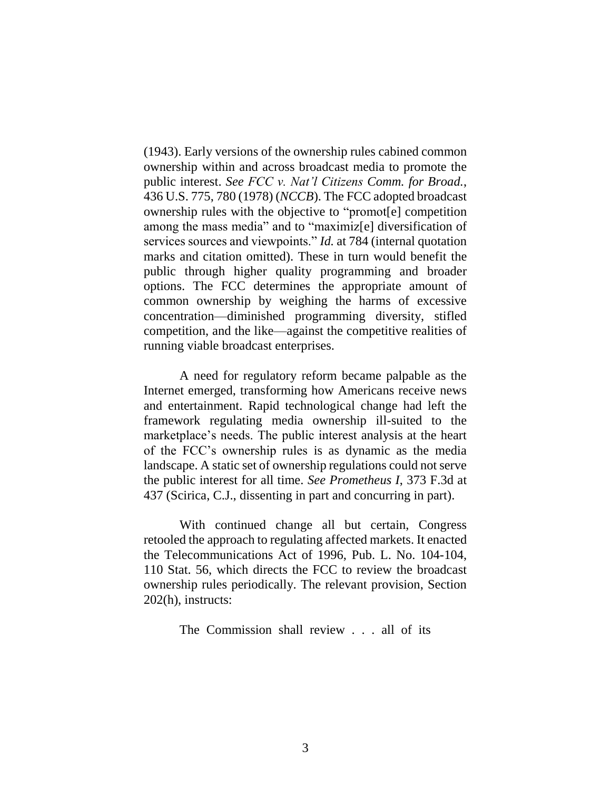(1943). Early versions of the ownership rules cabined common ownership within and across broadcast media to promote the public interest. *See FCC v. Nat'l Citizens Comm. for Broad.*, 436 U.S. 775, 780 (1978) (*NCCB*). The FCC adopted broadcast ownership rules with the objective to "promot[e] competition among the mass media" and to "maximiz[e] diversification of services sources and viewpoints." *Id.* at 784 (internal quotation marks and citation omitted). These in turn would benefit the public through higher quality programming and broader options. The FCC determines the appropriate amount of common ownership by weighing the harms of excessive concentration—diminished programming diversity, stifled competition, and the like—against the competitive realities of running viable broadcast enterprises.

A need for regulatory reform became palpable as the Internet emerged, transforming how Americans receive news and entertainment. Rapid technological change had left the framework regulating media ownership ill-suited to the marketplace's needs. The public interest analysis at the heart of the FCC's ownership rules is as dynamic as the media landscape. A static set of ownership regulations could not serve the public interest for all time. *See Prometheus I*, 373 F.3d at 437 (Scirica, C.J., dissenting in part and concurring in part).

With continued change all but certain, Congress retooled the approach to regulating affected markets. It enacted the Telecommunications Act of 1996, Pub. L. No. 104-104, 110 Stat. 56, which directs the FCC to review the broadcast ownership rules periodically. The relevant provision, Section 202(h), instructs:

The Commission shall review . . . all of its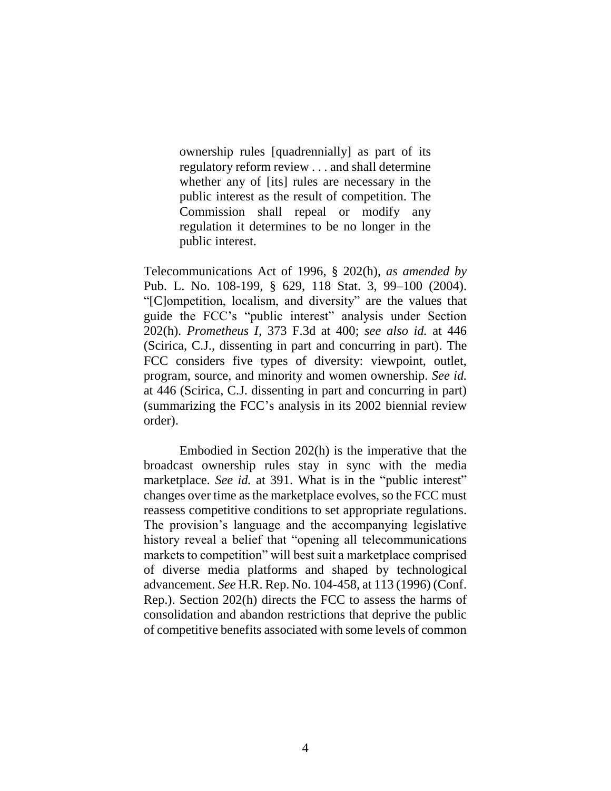ownership rules [quadrennially] as part of its regulatory reform review . . . and shall determine whether any of [its] rules are necessary in the public interest as the result of competition. The Commission shall repeal or modify any regulation it determines to be no longer in the public interest.

Telecommunications Act of 1996, § 202(h), *as amended by* Pub. L. No. 108-199, § 629, 118 Stat. 3, 99–100 (2004). "[C]ompetition, localism, and diversity" are the values that guide the FCC's "public interest" analysis under Section 202(h). *Prometheus I*, 373 F.3d at 400; *see also id.* at 446 (Scirica, C.J., dissenting in part and concurring in part). The FCC considers five types of diversity: viewpoint, outlet, program, source, and minority and women ownership. *See id.* at 446 (Scirica, C.J. dissenting in part and concurring in part) (summarizing the FCC's analysis in its 2002 biennial review order).

Embodied in Section 202(h) is the imperative that the broadcast ownership rules stay in sync with the media marketplace. *See id.* at 391. What is in the "public interest" changes over time as the marketplace evolves, so the FCC must reassess competitive conditions to set appropriate regulations. The provision's language and the accompanying legislative history reveal a belief that "opening all telecommunications markets to competition" will best suit a marketplace comprised of diverse media platforms and shaped by technological advancement. *See* H.R. Rep. No. 104-458, at 113 (1996) (Conf. Rep.). Section 202(h) directs the FCC to assess the harms of consolidation and abandon restrictions that deprive the public of competitive benefits associated with some levels of common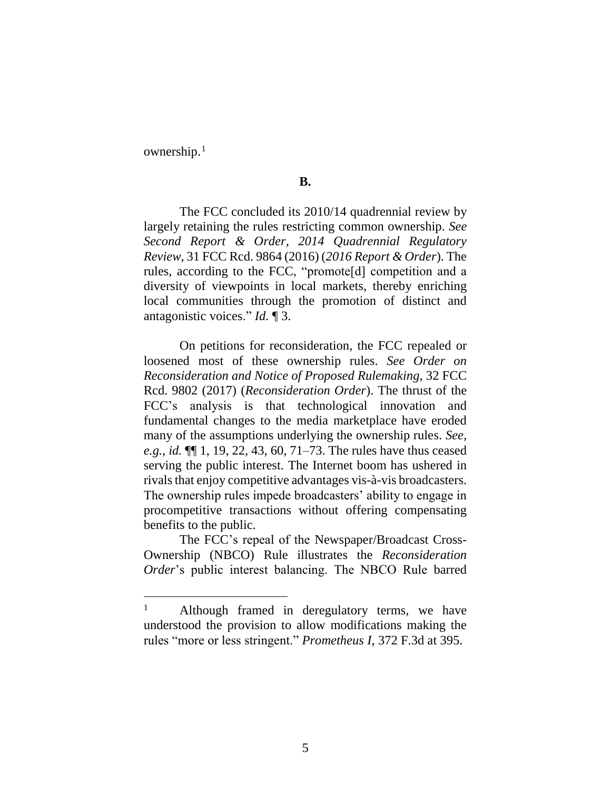ownership.<sup>1</sup>

 $\overline{a}$ 

# **B.**

The FCC concluded its 2010/14 quadrennial review by largely retaining the rules restricting common ownership. *See Second Report & Order, 2014 Quadrennial Regulatory Review*, 31 FCC Rcd. 9864 (2016) (*2016 Report & Order*). The rules, according to the FCC, "promote[d] competition and a diversity of viewpoints in local markets, thereby enriching local communities through the promotion of distinct and antagonistic voices." *Id.* ¶ 3.

On petitions for reconsideration, the FCC repealed or loosened most of these ownership rules. *See Order on Reconsideration and Notice of Proposed Rulemaking*, 32 FCC Rcd. 9802 (2017) (*Reconsideration Order*). The thrust of the FCC's analysis is that technological innovation and fundamental changes to the media marketplace have eroded many of the assumptions underlying the ownership rules. *See, e.g.*, *id.* ¶¶ 1, 19, 22, 43, 60, 71–73. The rules have thus ceased serving the public interest. The Internet boom has ushered in rivals that enjoy competitive advantages vis-à-vis broadcasters. The ownership rules impede broadcasters' ability to engage in procompetitive transactions without offering compensating benefits to the public.

The FCC's repeal of the Newspaper/Broadcast Cross-Ownership (NBCO) Rule illustrates the *Reconsideration Order*'s public interest balancing. The NBCO Rule barred

Although framed in deregulatory terms, we have understood the provision to allow modifications making the rules "more or less stringent." *Prometheus I*, 372 F.3d at 395.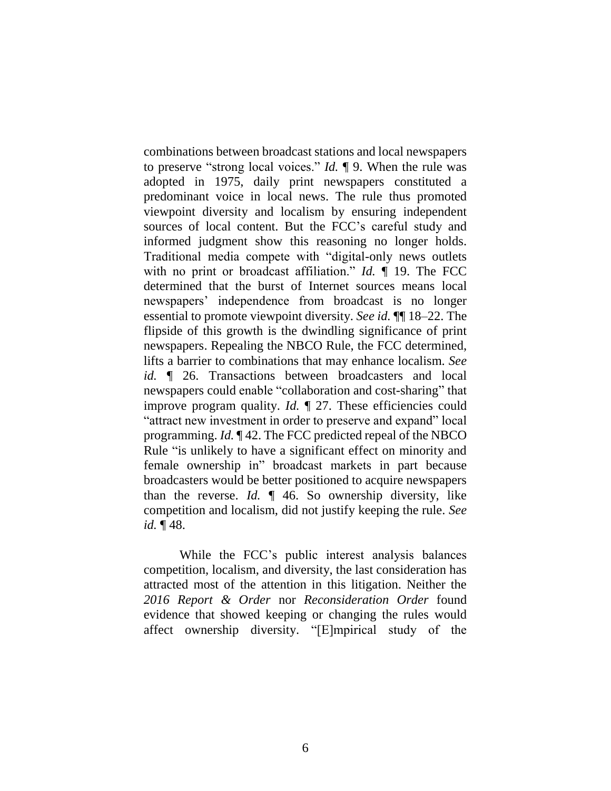combinations between broadcast stations and local newspapers to preserve "strong local voices." *Id.* ¶ 9. When the rule was adopted in 1975, daily print newspapers constituted a predominant voice in local news. The rule thus promoted viewpoint diversity and localism by ensuring independent sources of local content. But the FCC's careful study and informed judgment show this reasoning no longer holds. Traditional media compete with "digital-only news outlets with no print or broadcast affiliation." *Id.* ¶ 19. The FCC determined that the burst of Internet sources means local newspapers' independence from broadcast is no longer essential to promote viewpoint diversity. *See id.* ¶¶ 18–22. The flipside of this growth is the dwindling significance of print newspapers. Repealing the NBCO Rule, the FCC determined, lifts a barrier to combinations that may enhance localism. *See id.* ¶ 26. Transactions between broadcasters and local newspapers could enable "collaboration and cost-sharing" that improve program quality. *Id.* ¶ 27. These efficiencies could "attract new investment in order to preserve and expand" local programming. *Id.* ¶ 42. The FCC predicted repeal of the NBCO Rule "is unlikely to have a significant effect on minority and female ownership in" broadcast markets in part because broadcasters would be better positioned to acquire newspapers than the reverse. *Id.* ¶ 46. So ownership diversity, like competition and localism, did not justify keeping the rule. *See id.* ¶ 48.

While the FCC's public interest analysis balances competition, localism, and diversity, the last consideration has attracted most of the attention in this litigation. Neither the *2016 Report & Order* nor *Reconsideration Order* found evidence that showed keeping or changing the rules would affect ownership diversity. "[E]mpirical study of the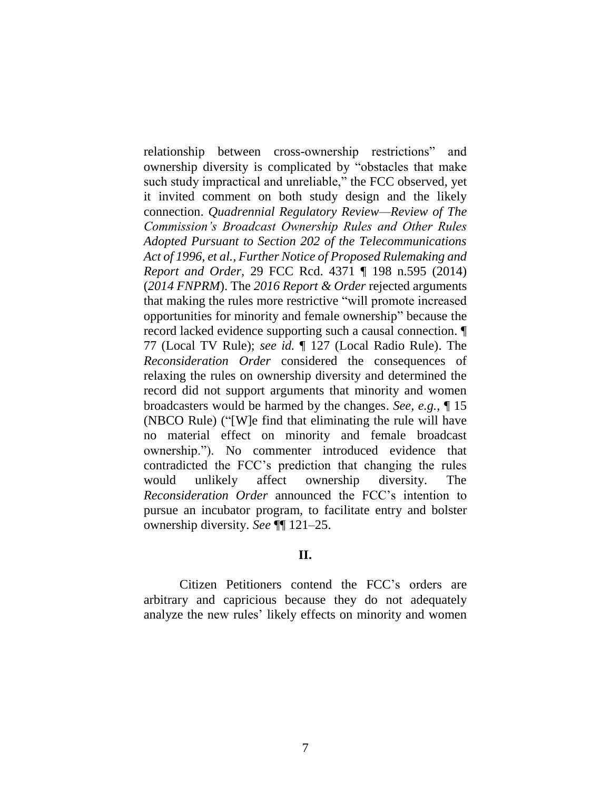relationship between cross-ownership restrictions" and ownership diversity is complicated by "obstacles that make such study impractical and unreliable," the FCC observed, yet it invited comment on both study design and the likely connection. *Quadrennial Regulatory Review—Review of The Commission's Broadcast Ownership Rules and Other Rules Adopted Pursuant to Section 202 of the Telecommunications Act of 1996, et al., Further Notice of Proposed Rulemaking and Report and Order,* 29 FCC Rcd. 4371 ¶ 198 n.595 (2014) (*2014 FNPRM*). The *2016 Report & Order* rejected arguments that making the rules more restrictive "will promote increased opportunities for minority and female ownership" because the record lacked evidence supporting such a causal connection. ¶ 77 (Local TV Rule); *see id.* ¶ 127 (Local Radio Rule). The *Reconsideration Order* considered the consequences of relaxing the rules on ownership diversity and determined the record did not support arguments that minority and women broadcasters would be harmed by the changes. *See, e.g.*, ¶ 15 (NBCO Rule) ("[W]e find that eliminating the rule will have no material effect on minority and female broadcast ownership."). No commenter introduced evidence that contradicted the FCC's prediction that changing the rules would unlikely affect ownership diversity. The *Reconsideration Order* announced the FCC's intention to pursue an incubator program, to facilitate entry and bolster ownership diversity. *See* ¶¶ 121–25.

## **II.**

Citizen Petitioners contend the FCC's orders are arbitrary and capricious because they do not adequately analyze the new rules' likely effects on minority and women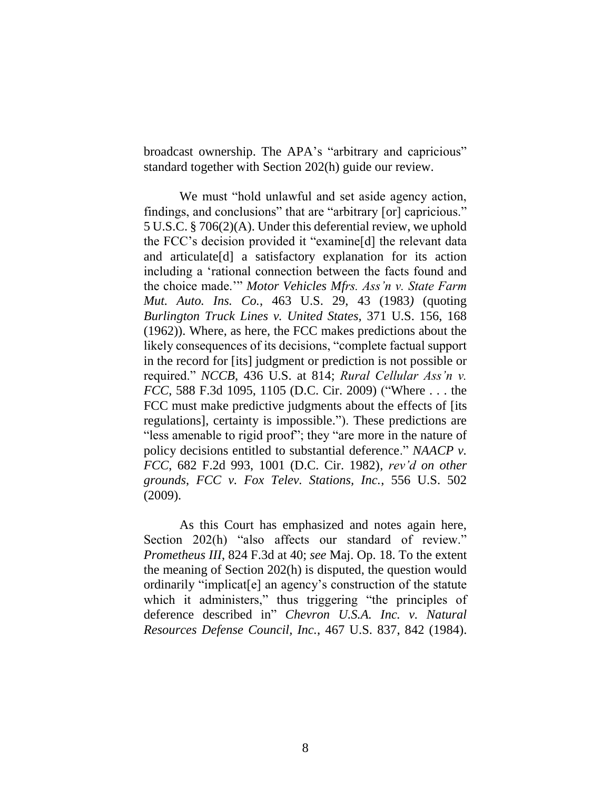broadcast ownership. The APA's "arbitrary and capricious" standard together with Section 202(h) guide our review.

We must "hold unlawful and set aside agency action, findings, and conclusions" that are "arbitrary [or] capricious." 5 U.S.C. § 706(2)(A). Under this deferential review, we uphold the FCC's decision provided it "examine[d] the relevant data and articulate[d] a satisfactory explanation for its action including a 'rational connection between the facts found and the choice made.'" *Motor Vehicles Mfrs. Ass'n v. State Farm Mut. Auto. Ins. Co.*, 463 U.S. 29, 43 (1983*)* (quoting *Burlington Truck Lines v. United States,* 371 U.S. 156, 168 (1962)). Where, as here, the FCC makes predictions about the likely consequences of its decisions, "complete factual support in the record for [its] judgment or prediction is not possible or required." *NCCB*, 436 U.S. at 814; *Rural Cellular Ass'n v. FCC*, 588 F.3d 1095, 1105 (D.C. Cir. 2009) ("Where . . . the FCC must make predictive judgments about the effects of [its regulations], certainty is impossible."). These predictions are "less amenable to rigid proof"; they "are more in the nature of policy decisions entitled to substantial deference." *NAACP v. FCC*, 682 F.2d 993, 1001 (D.C. Cir. 1982), *rev'd on other grounds*, *FCC v. Fox Telev. Stations, Inc.*, 556 U.S. 502 (2009).

As this Court has emphasized and notes again here, Section 202(h) "also affects our standard of review." *Prometheus III*, 824 F.3d at 40; *see* Maj. Op. 18. To the extent the meaning of Section 202(h) is disputed, the question would ordinarily "implicat[e] an agency's construction of the statute which it administers," thus triggering "the principles of deference described in" *Chevron U.S.A. Inc. v. Natural Resources Defense Council, Inc.*, 467 U.S. 837, 842 (1984).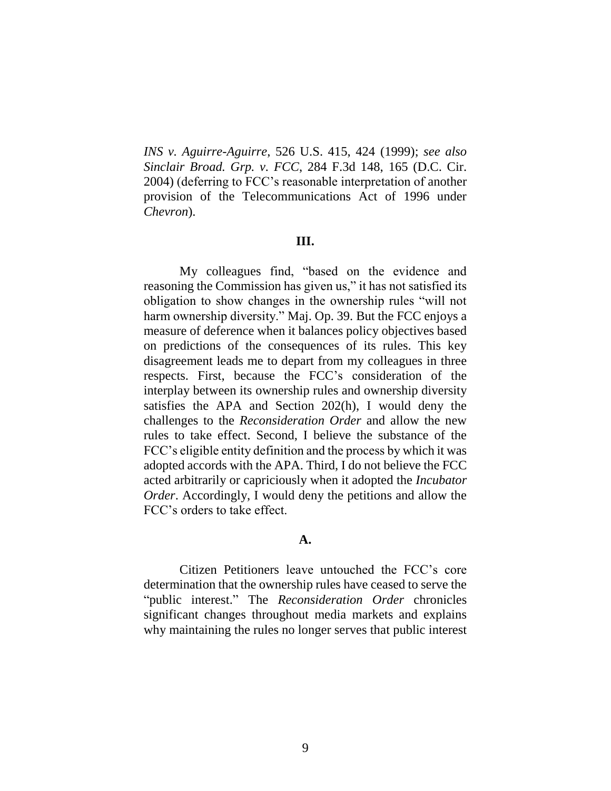*INS v. Aguirre-Aguirre*, 526 U.S. 415, 424 (1999); *see also Sinclair Broad. Grp. v. FCC*, 284 F.3d 148, 165 (D.C. Cir. 2004) (deferring to FCC's reasonable interpretation of another provision of the Telecommunications Act of 1996 under *Chevron*).

### **III.**

My colleagues find, "based on the evidence and reasoning the Commission has given us," it has not satisfied its obligation to show changes in the ownership rules "will not harm ownership diversity." Maj. Op. 39. But the FCC enjoys a measure of deference when it balances policy objectives based on predictions of the consequences of its rules. This key disagreement leads me to depart from my colleagues in three respects. First, because the FCC's consideration of the interplay between its ownership rules and ownership diversity satisfies the APA and Section 202(h), I would deny the challenges to the *Reconsideration Order* and allow the new rules to take effect. Second, I believe the substance of the FCC's eligible entity definition and the process by which it was adopted accords with the APA. Third, I do not believe the FCC acted arbitrarily or capriciously when it adopted the *Incubator Order*. Accordingly, I would deny the petitions and allow the FCC's orders to take effect.

### **A.**

Citizen Petitioners leave untouched the FCC's core determination that the ownership rules have ceased to serve the "public interest." The *Reconsideration Order* chronicles significant changes throughout media markets and explains why maintaining the rules no longer serves that public interest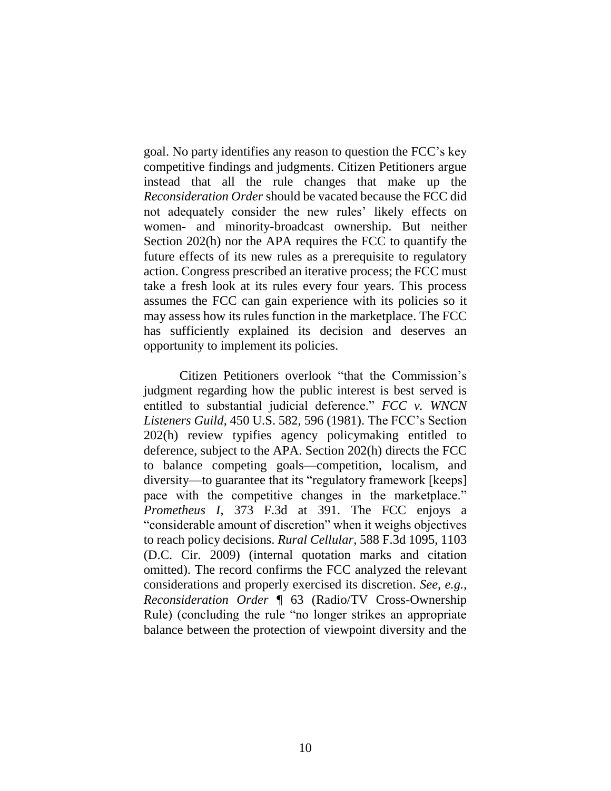goal. No party identifies any reason to question the FCC's key competitive findings and judgments. Citizen Petitioners argue instead that all the rule changes that make up the *Reconsideration Order* should be vacated because the FCC did not adequately consider the new rules' likely effects on women- and minority-broadcast ownership. But neither Section 202(h) nor the APA requires the FCC to quantify the future effects of its new rules as a prerequisite to regulatory action. Congress prescribed an iterative process; the FCC must take a fresh look at its rules every four years. This process assumes the FCC can gain experience with its policies so it may assess how its rules function in the marketplace. The FCC has sufficiently explained its decision and deserves an opportunity to implement its policies.

Citizen Petitioners overlook "that the Commission's judgment regarding how the public interest is best served is entitled to substantial judicial deference." *FCC v. WNCN Listeners Guild*, 450 U.S. 582, 596 (1981). The FCC's Section 202(h) review typifies agency policymaking entitled to deference, subject to the APA. Section 202(h) directs the FCC to balance competing goals—competition, localism, and diversity—to guarantee that its "regulatory framework [keeps] pace with the competitive changes in the marketplace." *Prometheus I*, 373 F.3d at 391. The FCC enjoys a "considerable amount of discretion" when it weighs objectives to reach policy decisions. *Rural Cellular*, 588 F.3d 1095, 1103 (D.C. Cir. 2009) (internal quotation marks and citation omitted). The record confirms the FCC analyzed the relevant considerations and properly exercised its discretion. *See, e.g.*, *Reconsideration Order* ¶ 63 (Radio/TV Cross-Ownership Rule) (concluding the rule "no longer strikes an appropriate balance between the protection of viewpoint diversity and the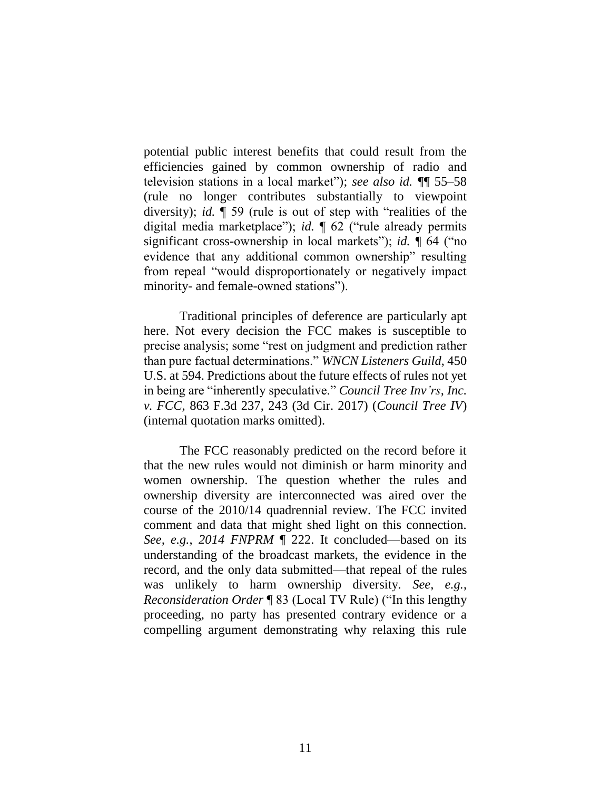potential public interest benefits that could result from the efficiencies gained by common ownership of radio and television stations in a local market"); *see also id. ¶*¶ 55–58 (rule no longer contributes substantially to viewpoint diversity); *id.* ¶ 59 (rule is out of step with "realities of the digital media marketplace"); *id.* ¶ 62 ("rule already permits significant cross-ownership in local markets"); *id. ¶* 64 ("no evidence that any additional common ownership" resulting from repeal "would disproportionately or negatively impact minority- and female-owned stations").

Traditional principles of deference are particularly apt here. Not every decision the FCC makes is susceptible to precise analysis; some "rest on judgment and prediction rather than pure factual determinations." *WNCN Listeners Guild*, 450 U.S. at 594. Predictions about the future effects of rules not yet in being are "inherently speculative." *Council Tree Inv'rs, Inc. v. FCC*, 863 F.3d 237, 243 (3d Cir. 2017) (*Council Tree IV*) (internal quotation marks omitted).

The FCC reasonably predicted on the record before it that the new rules would not diminish or harm minority and women ownership. The question whether the rules and ownership diversity are interconnected was aired over the course of the 2010/14 quadrennial review. The FCC invited comment and data that might shed light on this connection. *See, e.g.*, *2014 FNPRM* ¶ 222. It concluded—based on its understanding of the broadcast markets, the evidence in the record, and the only data submitted—that repeal of the rules was unlikely to harm ownership diversity. *See, e.g.*, *Reconsideration Order* ¶ 83 (Local TV Rule) ("In this lengthy proceeding, no party has presented contrary evidence or a compelling argument demonstrating why relaxing this rule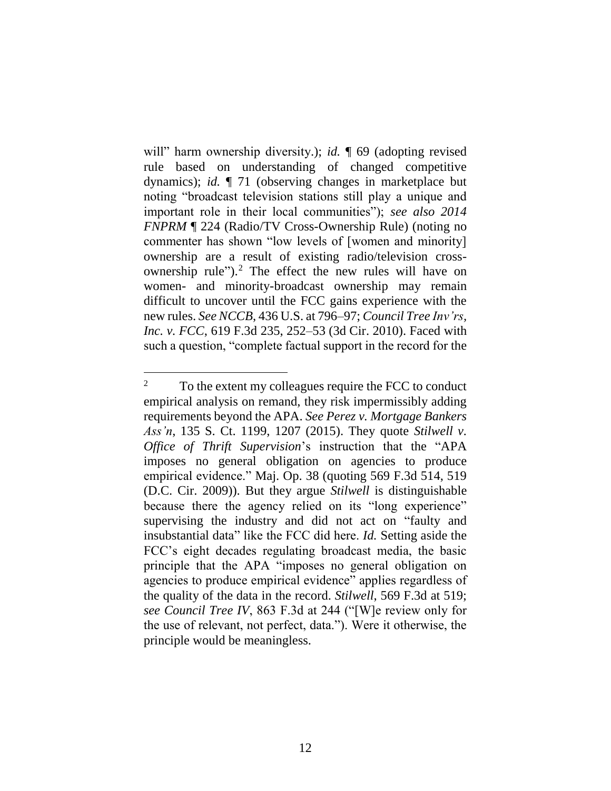will" harm ownership diversity.); *id.*  $\sqrt{\ }$  69 (adopting revised rule based on understanding of changed competitive dynamics); *id.* ¶ 71 (observing changes in marketplace but noting "broadcast television stations still play a unique and important role in their local communities"); *see also 2014 FNPRM* ¶ 224 (Radio/TV Cross-Ownership Rule) (noting no commenter has shown "low levels of [women and minority] ownership are a result of existing radio/television crossownership rule").<sup>2</sup> The effect the new rules will have on women- and minority-broadcast ownership may remain difficult to uncover until the FCC gains experience with the new rules. *See NCCB*, 436 U.S. at 796–97; *Council Tree Inv'rs, Inc. v. FCC*, 619 F.3d 235, 252–53 (3d Cir. 2010). Faced with such a question, "complete factual support in the record for the

<sup>&</sup>lt;sup>2</sup> To the extent my colleagues require the FCC to conduct empirical analysis on remand, they risk impermissibly adding requirements beyond the APA. *See Perez v. Mortgage Bankers Ass'n*, 135 S. Ct. 1199, 1207 (2015). They quote *Stilwell v. Office of Thrift Supervision*'s instruction that the "APA imposes no general obligation on agencies to produce empirical evidence." Maj. Op. 38 (quoting 569 F.3d 514, 519 (D.C. Cir. 2009)). But they argue *Stilwell* is distinguishable because there the agency relied on its "long experience" supervising the industry and did not act on "faulty and insubstantial data" like the FCC did here. *Id.* Setting aside the FCC's eight decades regulating broadcast media, the basic principle that the APA "imposes no general obligation on agencies to produce empirical evidence" applies regardless of the quality of the data in the record. *Stilwell*, 569 F.3d at 519; *see Council Tree IV*, 863 F.3d at 244 ("[W]e review only for the use of relevant, not perfect, data."). Were it otherwise, the principle would be meaningless.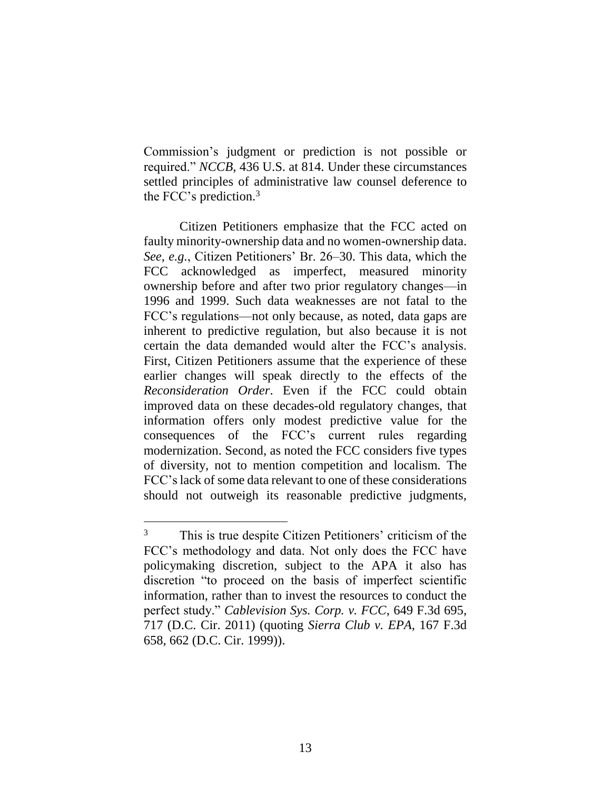Commission's judgment or prediction is not possible or required." *NCCB*, 436 U.S. at 814. Under these circumstances settled principles of administrative law counsel deference to the FCC's prediction. 3

Citizen Petitioners emphasize that the FCC acted on faulty minority-ownership data and no women-ownership data. *See, e.g.*, Citizen Petitioners' Br. 26–30. This data, which the FCC acknowledged as imperfect, measured minority ownership before and after two prior regulatory changes—in 1996 and 1999. Such data weaknesses are not fatal to the FCC's regulations—not only because, as noted, data gaps are inherent to predictive regulation, but also because it is not certain the data demanded would alter the FCC's analysis. First, Citizen Petitioners assume that the experience of these earlier changes will speak directly to the effects of the *Reconsideration Order*. Even if the FCC could obtain improved data on these decades-old regulatory changes, that information offers only modest predictive value for the consequences of the FCC's current rules regarding modernization. Second, as noted the FCC considers five types of diversity, not to mention competition and localism. The FCC's lack of some data relevant to one of these considerations should not outweigh its reasonable predictive judgments,

 $\overline{a}$ 

<sup>&</sup>lt;sup>3</sup> This is true despite Citizen Petitioners' criticism of the FCC's methodology and data. Not only does the FCC have policymaking discretion, subject to the APA it also has discretion "to proceed on the basis of imperfect scientific information, rather than to invest the resources to conduct the perfect study." *Cablevision Sys. Corp. v. FCC*, 649 F.3d 695, 717 (D.C. Cir. 2011) (quoting *Sierra Club v. EPA*, 167 F.3d 658, 662 (D.C. Cir. 1999)).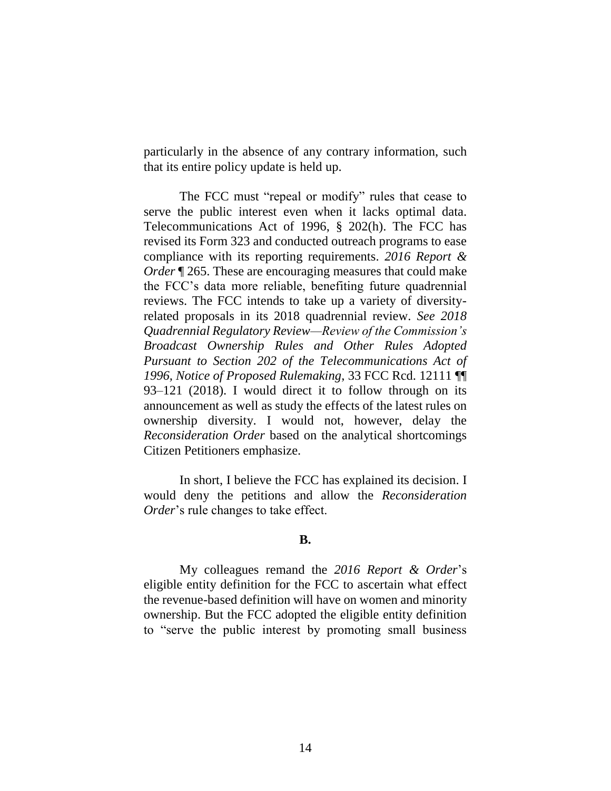particularly in the absence of any contrary information, such that its entire policy update is held up.

The FCC must "repeal or modify" rules that cease to serve the public interest even when it lacks optimal data. Telecommunications Act of 1996, § 202(h). The FCC has revised its Form 323 and conducted outreach programs to ease compliance with its reporting requirements. *2016 Report & Order* **[265.** These are encouraging measures that could make the FCC's data more reliable, benefiting future quadrennial reviews. The FCC intends to take up a variety of diversityrelated proposals in its 2018 quadrennial review. *See 2018 Quadrennial Regulatory Review—Review of the Commission's Broadcast Ownership Rules and Other Rules Adopted Pursuant to Section 202 of the Telecommunications Act of 1996, Notice of Proposed Rulemaking*, 33 FCC Rcd. 12111 ¶¶ 93–121 (2018). I would direct it to follow through on its announcement as well as study the effects of the latest rules on ownership diversity. I would not, however, delay the *Reconsideration Order* based on the analytical shortcomings Citizen Petitioners emphasize.

In short, I believe the FCC has explained its decision. I would deny the petitions and allow the *Reconsideration Order*'s rule changes to take effect.

### **B.**

My colleagues remand the *2016 Report & Order*'s eligible entity definition for the FCC to ascertain what effect the revenue-based definition will have on women and minority ownership. But the FCC adopted the eligible entity definition to "serve the public interest by promoting small business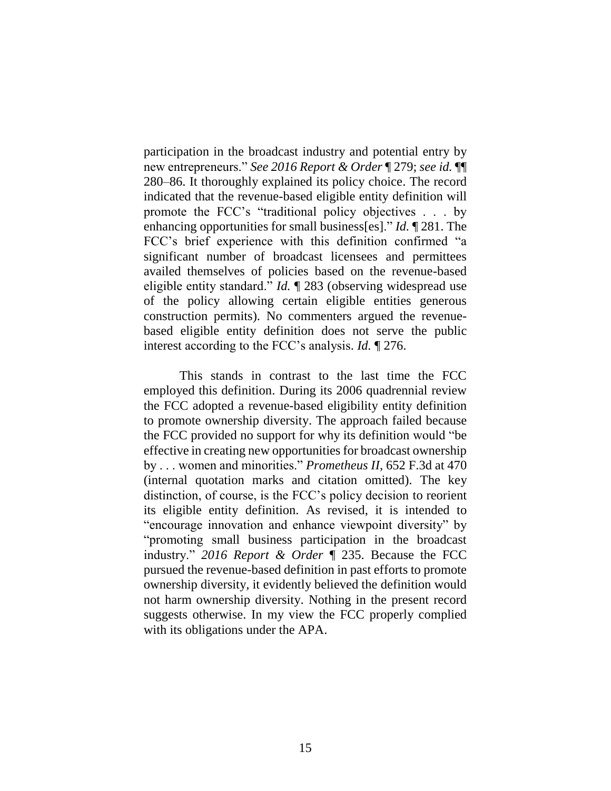participation in the broadcast industry and potential entry by new entrepreneurs." *See 2016 Report & Order* ¶ 279; *see id.* ¶¶ 280–86. It thoroughly explained its policy choice. The record indicated that the revenue-based eligible entity definition will promote the FCC's "traditional policy objectives . . . by enhancing opportunities for small business[es]." *Id.* ¶ 281. The FCC's brief experience with this definition confirmed "a significant number of broadcast licensees and permittees availed themselves of policies based on the revenue-based eligible entity standard." *Id.* ¶ 283 (observing widespread use of the policy allowing certain eligible entities generous construction permits). No commenters argued the revenuebased eligible entity definition does not serve the public interest according to the FCC's analysis. *Id.* ¶ 276.

This stands in contrast to the last time the FCC employed this definition. During its 2006 quadrennial review the FCC adopted a revenue-based eligibility entity definition to promote ownership diversity. The approach failed because the FCC provided no support for why its definition would "be effective in creating new opportunities for broadcast ownership by . . . women and minorities." *Prometheus II*, 652 F.3d at 470 (internal quotation marks and citation omitted). The key distinction, of course, is the FCC's policy decision to reorient its eligible entity definition. As revised, it is intended to "encourage innovation and enhance viewpoint diversity" by "promoting small business participation in the broadcast industry." *2016 Report & Order* ¶ 235. Because the FCC pursued the revenue-based definition in past efforts to promote ownership diversity, it evidently believed the definition would not harm ownership diversity. Nothing in the present record suggests otherwise. In my view the FCC properly complied with its obligations under the APA.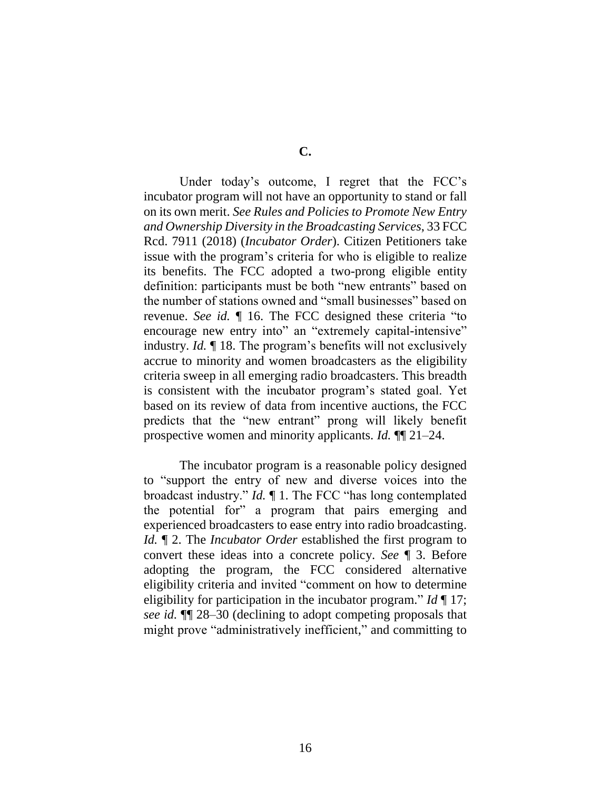Under today's outcome, I regret that the FCC's incubator program will not have an opportunity to stand or fall on its own merit. *See Rules and Policies to Promote New Entry and Ownership Diversity in the Broadcasting Services*, 33 FCC Rcd. 7911 (2018) (*Incubator Order*). Citizen Petitioners take issue with the program's criteria for who is eligible to realize its benefits. The FCC adopted a two-prong eligible entity definition: participants must be both "new entrants" based on the number of stations owned and "small businesses" based on revenue. *See id.* ¶ 16. The FCC designed these criteria "to encourage new entry into" an "extremely capital-intensive" industry. *Id.* ¶ 18. The program's benefits will not exclusively accrue to minority and women broadcasters as the eligibility criteria sweep in all emerging radio broadcasters. This breadth is consistent with the incubator program's stated goal. Yet based on its review of data from incentive auctions, the FCC predicts that the "new entrant" prong will likely benefit prospective women and minority applicants. *Id.* ¶¶ 21–24.

The incubator program is a reasonable policy designed to "support the entry of new and diverse voices into the broadcast industry." *Id.* ¶ 1. The FCC "has long contemplated the potential for" a program that pairs emerging and experienced broadcasters to ease entry into radio broadcasting. *Id.* ¶ 2. The *Incubator Order* established the first program to convert these ideas into a concrete policy. *See* ¶ 3. Before adopting the program, the FCC considered alternative eligibility criteria and invited "comment on how to determine eligibility for participation in the incubator program." *Id* ¶ 17; *see id.* ¶¶ 28–30 (declining to adopt competing proposals that might prove "administratively inefficient," and committing to